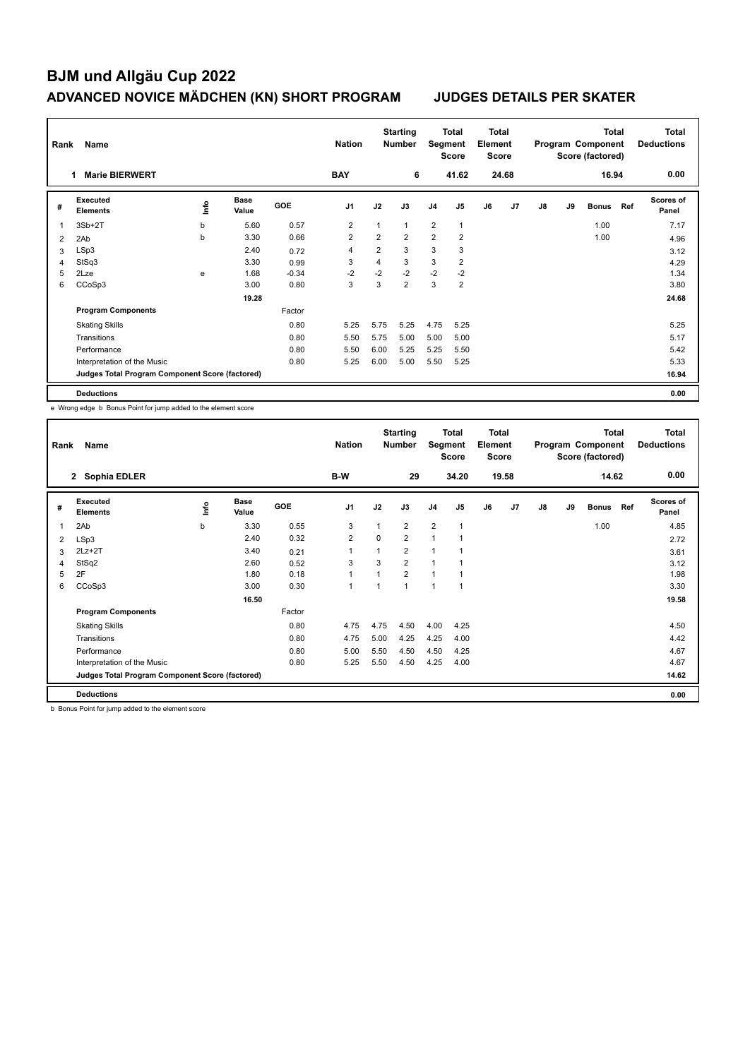| Rank           | Name                                            |      |                      |         | <b>Nation</b>  |                | <b>Starting</b><br><b>Number</b> |                | <b>Total</b><br>Segment<br><b>Score</b> | <b>Total</b><br>Element<br><b>Score</b> |       |    |    | <b>Total</b><br>Program Component<br>Score (factored) |     | <b>Total</b><br><b>Deductions</b> |
|----------------|-------------------------------------------------|------|----------------------|---------|----------------|----------------|----------------------------------|----------------|-----------------------------------------|-----------------------------------------|-------|----|----|-------------------------------------------------------|-----|-----------------------------------|
|                | <b>Marie BIERWERT</b>                           |      |                      |         | <b>BAY</b>     |                | 6                                |                | 41.62                                   |                                         | 24.68 |    |    | 16.94                                                 |     | 0.00                              |
| #              | <b>Executed</b><br><b>Elements</b>              | ١nfo | <b>Base</b><br>Value | GOE     | J <sub>1</sub> | J2             | J3                               | J <sub>4</sub> | J <sub>5</sub>                          | J6                                      | J7    | J8 | J9 | <b>Bonus</b>                                          | Ref | <b>Scores of</b><br>Panel         |
| 1              | $3Sb+2T$                                        | b    | 5.60                 | 0.57    | 2              | 1              | $\mathbf{1}$                     | 2              | $\mathbf{1}$                            |                                         |       |    |    | 1.00                                                  |     | 7.17                              |
| $\overline{2}$ | 2Ab                                             | b    | 3.30                 | 0.66    | $\overline{2}$ | $\overline{2}$ | $\overline{2}$                   | $\overline{2}$ | $\overline{2}$                          |                                         |       |    |    | 1.00                                                  |     | 4.96                              |
| 3              | LSp3                                            |      | 2.40                 | 0.72    | $\overline{4}$ | $\overline{2}$ | 3                                | 3              | 3                                       |                                         |       |    |    |                                                       |     | 3.12                              |
| 4              | StSq3                                           |      | 3.30                 | 0.99    | 3              | 4              | 3                                | 3              | $\overline{2}$                          |                                         |       |    |    |                                                       |     | 4.29                              |
| 5              | 2Lze                                            | e    | 1.68                 | $-0.34$ | $-2$           | $-2$           | $-2$                             | $-2$           | $-2$                                    |                                         |       |    |    |                                                       |     | 1.34                              |
| 6              | CCoSp3                                          |      | 3.00                 | 0.80    | 3              | 3              | $\overline{2}$                   | 3              | $\overline{2}$                          |                                         |       |    |    |                                                       |     | 3.80                              |
|                |                                                 |      | 19.28                |         |                |                |                                  |                |                                         |                                         |       |    |    |                                                       |     | 24.68                             |
|                | <b>Program Components</b>                       |      |                      | Factor  |                |                |                                  |                |                                         |                                         |       |    |    |                                                       |     |                                   |
|                | <b>Skating Skills</b>                           |      |                      | 0.80    | 5.25           | 5.75           | 5.25                             | 4.75           | 5.25                                    |                                         |       |    |    |                                                       |     | 5.25                              |
|                | Transitions                                     |      |                      | 0.80    | 5.50           | 5.75           | 5.00                             | 5.00           | 5.00                                    |                                         |       |    |    |                                                       |     | 5.17                              |
|                | Performance                                     |      |                      | 0.80    | 5.50           | 6.00           | 5.25                             | 5.25           | 5.50                                    |                                         |       |    |    |                                                       |     | 5.42                              |
|                | Interpretation of the Music                     |      |                      | 0.80    | 5.25           | 6.00           | 5.00                             | 5.50           | 5.25                                    |                                         |       |    |    |                                                       |     | 5.33                              |
|                | Judges Total Program Component Score (factored) |      |                      |         |                |                |                                  |                |                                         |                                         |       |    |    |                                                       |     | 16.94                             |
|                | <b>Deductions</b>                               |      |                      |         |                |                |                                  |                |                                         |                                         |       |    |    |                                                       |     | 0.00                              |

e Wrong edge b Bonus Point for jump added to the element score

| Rank         | Name                                            |      |                      |        | <b>Nation</b>  |             | <b>Starting</b><br><b>Number</b> | Segment        | <b>Total</b><br><b>Score</b> | <b>Total</b><br>Element<br><b>Score</b> |                |               |    | <b>Total</b><br>Program Component<br>Score (factored) |     | <b>Total</b><br><b>Deductions</b> |
|--------------|-------------------------------------------------|------|----------------------|--------|----------------|-------------|----------------------------------|----------------|------------------------------|-----------------------------------------|----------------|---------------|----|-------------------------------------------------------|-----|-----------------------------------|
|              | 2 Sophia EDLER                                  |      |                      |        | B-W            |             | 29                               |                | 34.20                        |                                         | 19.58          |               |    | 14.62                                                 |     | 0.00                              |
| #            | Executed<br><b>Elements</b>                     | lnfo | <b>Base</b><br>Value | GOE    | J <sub>1</sub> | J2          | J3                               | J <sub>4</sub> | J <sub>5</sub>               | J6                                      | J <sub>7</sub> | $\mathsf{J}8$ | J9 | <b>Bonus</b>                                          | Ref | <b>Scores of</b><br>Panel         |
| $\mathbf{1}$ | 2Ab                                             | b    | 3.30                 | 0.55   | 3              |             | $\overline{2}$                   | $\overline{2}$ | $\mathbf{1}$                 |                                         |                |               |    | 1.00                                                  |     | 4.85                              |
| 2            | LSp3                                            |      | 2.40                 | 0.32   | $\overline{2}$ | $\mathbf 0$ | $\overline{2}$                   | $\mathbf{1}$   |                              |                                         |                |               |    |                                                       |     | 2.72                              |
| 3            | $2Lz+2T$                                        |      | 3.40                 | 0.21   | $\overline{1}$ |             | $\overline{2}$                   | $\mathbf{1}$   |                              |                                         |                |               |    |                                                       |     | 3.61                              |
| 4            | StSq2                                           |      | 2.60                 | 0.52   | 3              | 3           | $\overline{2}$                   | $\mathbf{1}$   |                              |                                         |                |               |    |                                                       |     | 3.12                              |
| 5            | 2F                                              |      | 1.80                 | 0.18   | 1              |             | $\overline{2}$                   | 1              |                              |                                         |                |               |    |                                                       |     | 1.98                              |
| 6            | CCoSp3                                          |      | 3.00                 | 0.30   | $\overline{1}$ |             | $\mathbf{1}$                     | 1              | $\overline{1}$               |                                         |                |               |    |                                                       |     | 3.30                              |
|              |                                                 |      | 16.50                |        |                |             |                                  |                |                              |                                         |                |               |    |                                                       |     | 19.58                             |
|              | <b>Program Components</b>                       |      |                      | Factor |                |             |                                  |                |                              |                                         |                |               |    |                                                       |     |                                   |
|              | <b>Skating Skills</b>                           |      |                      | 0.80   | 4.75           | 4.75        | 4.50                             | 4.00           | 4.25                         |                                         |                |               |    |                                                       |     | 4.50                              |
|              | Transitions                                     |      |                      | 0.80   | 4.75           | 5.00        | 4.25                             | 4.25           | 4.00                         |                                         |                |               |    |                                                       |     | 4.42                              |
|              | Performance                                     |      |                      | 0.80   | 5.00           | 5.50        | 4.50                             | 4.50           | 4.25                         |                                         |                |               |    |                                                       |     | 4.67                              |
|              | Interpretation of the Music                     |      |                      | 0.80   | 5.25           | 5.50        | 4.50                             | 4.25           | 4.00                         |                                         |                |               |    |                                                       |     | 4.67                              |
|              | Judges Total Program Component Score (factored) |      |                      |        |                |             |                                  |                |                              |                                         |                |               |    |                                                       |     | 14.62                             |
|              | <b>Deductions</b>                               |      |                      |        |                |             |                                  |                |                              |                                         |                |               |    |                                                       |     | 0.00                              |

b Bonus Point for jump added to the element score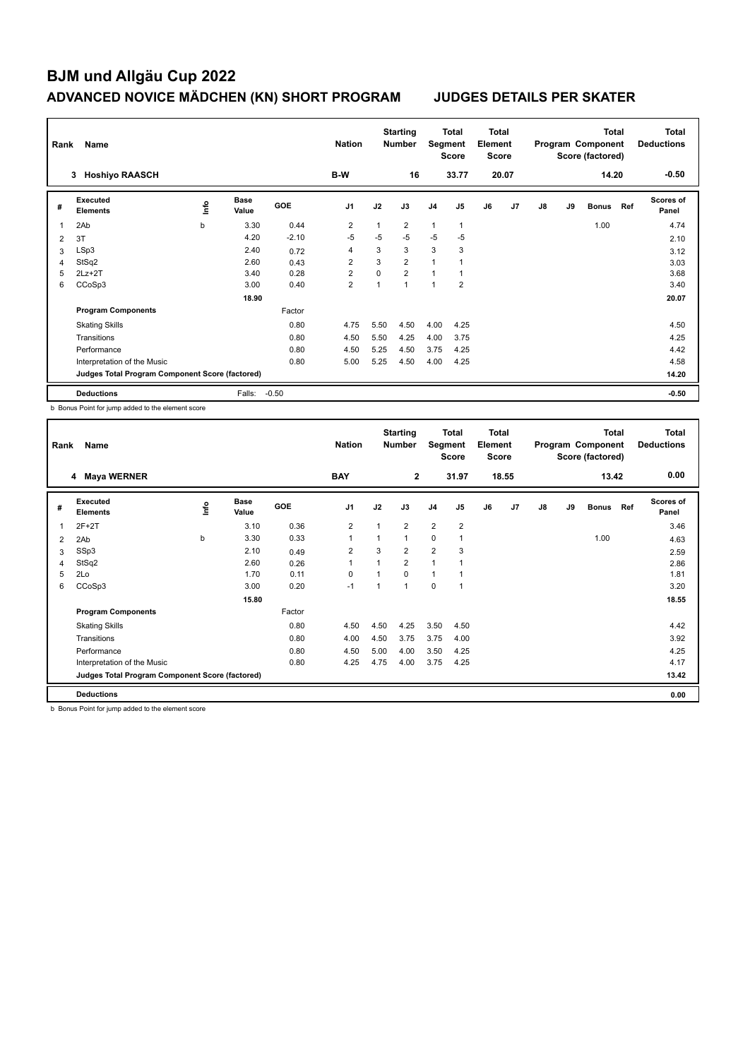| Rank           | Name                                            |      |                      |         | <b>Nation</b>  |          | <b>Starting</b><br><b>Number</b> | Segment        | Total<br><b>Score</b> | <b>Total</b><br>Element<br><b>Score</b> |                |               |    | <b>Total</b><br>Program Component<br>Score (factored) |     | <b>Total</b><br><b>Deductions</b> |
|----------------|-------------------------------------------------|------|----------------------|---------|----------------|----------|----------------------------------|----------------|-----------------------|-----------------------------------------|----------------|---------------|----|-------------------------------------------------------|-----|-----------------------------------|
|                | <b>Hoshiyo RAASCH</b><br>3                      |      |                      |         | B-W            |          | 16                               |                | 33.77                 |                                         | 20.07          |               |    | 14.20                                                 |     | $-0.50$                           |
| #              | Executed<br><b>Elements</b>                     | lnfo | <b>Base</b><br>Value | GOE     | J <sub>1</sub> | J2       | J3                               | J <sub>4</sub> | J <sub>5</sub>        | J6                                      | J <sub>7</sub> | $\mathsf{J}8$ | J9 | <b>Bonus</b>                                          | Ref | <b>Scores of</b><br>Panel         |
| $\overline{1}$ | 2Ab                                             | b    | 3.30                 | 0.44    | $\overline{2}$ | 1        | $\overline{2}$                   | $\mathbf{1}$   | $\overline{1}$        |                                         |                |               |    | 1.00                                                  |     | 4.74                              |
| 2              | 3T                                              |      | 4.20                 | $-2.10$ | $-5$           | $-5$     | $-5$                             | $-5$           | $-5$                  |                                         |                |               |    |                                                       |     | 2.10                              |
| 3              | LSp3                                            |      | 2.40                 | 0.72    | $\overline{4}$ | 3        | 3                                | 3              | 3                     |                                         |                |               |    |                                                       |     | 3.12                              |
| 4              | StSq2                                           |      | 2.60                 | 0.43    | $\overline{2}$ | 3        | $\overline{2}$                   | 1              |                       |                                         |                |               |    |                                                       |     | 3.03                              |
| 5              | $2Lz+2T$                                        |      | 3.40                 | 0.28    | $\overline{2}$ | $\Omega$ | $\overline{2}$                   | 1              | 1                     |                                         |                |               |    |                                                       |     | 3.68                              |
| 6              | CCoSp3                                          |      | 3.00                 | 0.40    | $\overline{2}$ | 1        | $\overline{ }$                   | $\overline{1}$ | $\overline{2}$        |                                         |                |               |    |                                                       |     | 3.40                              |
|                |                                                 |      | 18.90                |         |                |          |                                  |                |                       |                                         |                |               |    |                                                       |     | 20.07                             |
|                | <b>Program Components</b>                       |      |                      | Factor  |                |          |                                  |                |                       |                                         |                |               |    |                                                       |     |                                   |
|                | <b>Skating Skills</b>                           |      |                      | 0.80    | 4.75           | 5.50     | 4.50                             | 4.00           | 4.25                  |                                         |                |               |    |                                                       |     | 4.50                              |
|                | Transitions                                     |      |                      | 0.80    | 4.50           | 5.50     | 4.25                             | 4.00           | 3.75                  |                                         |                |               |    |                                                       |     | 4.25                              |
|                | Performance                                     |      |                      | 0.80    | 4.50           | 5.25     | 4.50                             | 3.75           | 4.25                  |                                         |                |               |    |                                                       |     | 4.42                              |
|                | Interpretation of the Music                     |      |                      | 0.80    | 5.00           | 5.25     | 4.50                             | 4.00           | 4.25                  |                                         |                |               |    |                                                       |     | 4.58                              |
|                | Judges Total Program Component Score (factored) |      |                      |         |                |          |                                  |                |                       |                                         |                |               |    |                                                       |     | 14.20                             |
|                | <b>Deductions</b>                               |      | Falls:               | $-0.50$ |                |          |                                  |                |                       |                                         |                |               |    |                                                       |     | $-0.50$                           |

b Bonus Point for jump added to the element score

| Rank           | Name                                            |    |                      |        | <b>Nation</b>  |      | <b>Starting</b><br><b>Number</b> | Segment        | Total<br><b>Score</b> | <b>Total</b><br>Element<br><b>Score</b> |                |               |    | <b>Total</b><br>Program Component<br>Score (factored) |     | Total<br><b>Deductions</b> |
|----------------|-------------------------------------------------|----|----------------------|--------|----------------|------|----------------------------------|----------------|-----------------------|-----------------------------------------|----------------|---------------|----|-------------------------------------------------------|-----|----------------------------|
|                | <b>Maya WERNER</b><br>4                         |    |                      |        | <b>BAY</b>     |      | $\mathbf{2}$                     |                | 31.97                 |                                         | 18.55          |               |    | 13.42                                                 |     | 0.00                       |
| #              | Executed<br><b>Elements</b>                     | ١m | <b>Base</b><br>Value | GOE    | J <sub>1</sub> | J2   | J3                               | J <sub>4</sub> | J <sub>5</sub>        | J6                                      | J <sub>7</sub> | $\mathsf{J}8$ | J9 | <b>Bonus</b>                                          | Ref | <b>Scores of</b><br>Panel  |
| 1              | $2F+2T$                                         |    | 3.10                 | 0.36   | $\overline{2}$ |      | $\overline{2}$                   | $\overline{2}$ | $\overline{2}$        |                                         |                |               |    |                                                       |     | 3.46                       |
| 2              | 2Ab                                             | b  | 3.30                 | 0.33   | 1              |      | $\mathbf{1}$                     | $\mathbf 0$    |                       |                                         |                |               |    | 1.00                                                  |     | 4.63                       |
| 3              | SSp3                                            |    | 2.10                 | 0.49   | $\overline{2}$ | 3    | $\overline{2}$                   | $\overline{2}$ | 3                     |                                         |                |               |    |                                                       |     | 2.59                       |
| $\overline{4}$ | StSq2                                           |    | 2.60                 | 0.26   | 1              |      | $\overline{2}$                   | $\mathbf{1}$   |                       |                                         |                |               |    |                                                       |     | 2.86                       |
| 5              | 2Lo                                             |    | 1.70                 | 0.11   | 0              |      | $\Omega$                         | 1              |                       |                                         |                |               |    |                                                       |     | 1.81                       |
| 6              | CCoSp3                                          |    | 3.00                 | 0.20   | $-1$           |      | $\mathbf{1}$                     | 0              | $\overline{1}$        |                                         |                |               |    |                                                       |     | 3.20                       |
|                |                                                 |    | 15.80                |        |                |      |                                  |                |                       |                                         |                |               |    |                                                       |     | 18.55                      |
|                | <b>Program Components</b>                       |    |                      | Factor |                |      |                                  |                |                       |                                         |                |               |    |                                                       |     |                            |
|                | <b>Skating Skills</b>                           |    |                      | 0.80   | 4.50           | 4.50 | 4.25                             | 3.50           | 4.50                  |                                         |                |               |    |                                                       |     | 4.42                       |
|                | Transitions                                     |    |                      | 0.80   | 4.00           | 4.50 | 3.75                             | 3.75           | 4.00                  |                                         |                |               |    |                                                       |     | 3.92                       |
|                | Performance                                     |    |                      | 0.80   | 4.50           | 5.00 | 4.00                             | 3.50           | 4.25                  |                                         |                |               |    |                                                       |     | 4.25                       |
|                | Interpretation of the Music                     |    |                      | 0.80   | 4.25           | 4.75 | 4.00                             | 3.75           | 4.25                  |                                         |                |               |    |                                                       |     | 4.17                       |
|                | Judges Total Program Component Score (factored) |    |                      |        |                |      |                                  |                |                       |                                         |                |               |    |                                                       |     | 13.42                      |
|                | <b>Deductions</b>                               |    |                      |        |                |      |                                  |                |                       |                                         |                |               |    |                                                       |     | 0.00                       |

b Bonus Point for jump added to the element score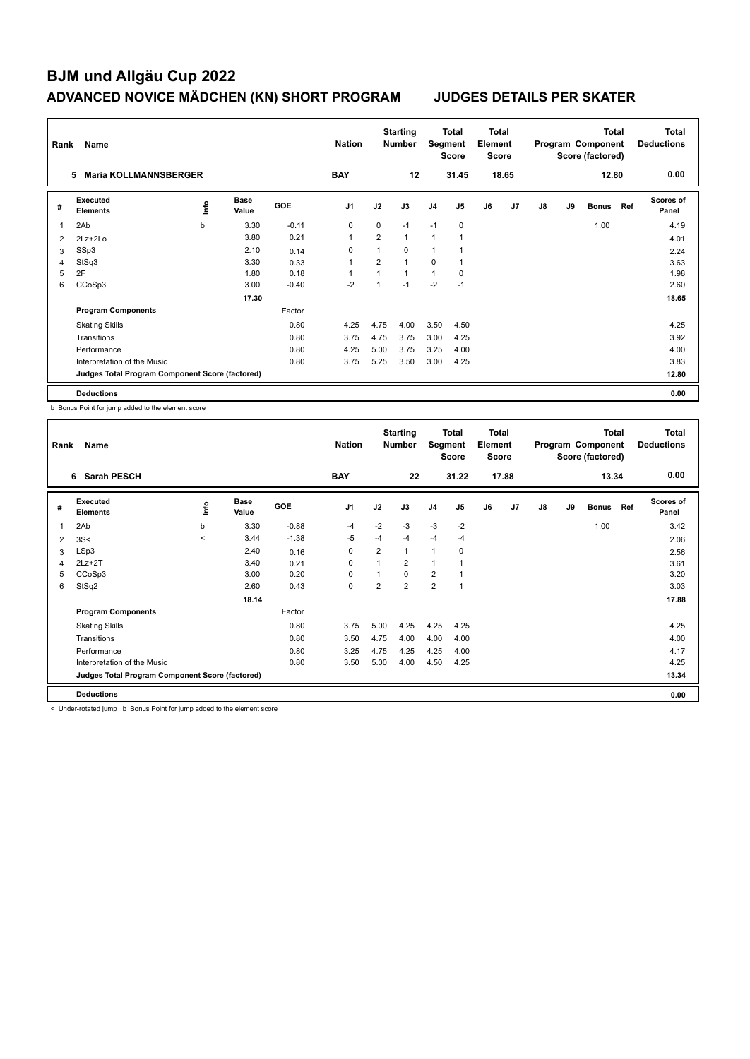| Rank           | Name                                            |      |                      |         | <b>Nation</b>  |                | <b>Starting</b><br><b>Number</b> | Segment        | Total<br><b>Score</b> | Total<br>Element<br><b>Score</b> |       |               |    | <b>Total</b><br>Program Component<br>Score (factored) |     | Total<br><b>Deductions</b> |
|----------------|-------------------------------------------------|------|----------------------|---------|----------------|----------------|----------------------------------|----------------|-----------------------|----------------------------------|-------|---------------|----|-------------------------------------------------------|-----|----------------------------|
|                | <b>Maria KOLLMANNSBERGER</b><br>5               |      |                      |         | <b>BAY</b>     |                | 12                               |                | 31.45                 |                                  | 18.65 |               |    | 12.80                                                 |     | 0.00                       |
| #              | Executed<br><b>Elements</b>                     | lnfo | <b>Base</b><br>Value | GOE     | J <sub>1</sub> | J2             | J3                               | J <sub>4</sub> | J <sub>5</sub>        | J6                               | J7    | $\mathsf{J}8$ | J9 | <b>Bonus</b>                                          | Ref | <b>Scores of</b><br>Panel  |
| 1              | 2Ab                                             | b    | 3.30                 | $-0.11$ | $\mathbf 0$    | 0              | $-1$                             | $-1$           | $\mathbf 0$           |                                  |       |               |    | 1.00                                                  |     | 4.19                       |
| 2              | 2Lz+2Lo                                         |      | 3.80                 | 0.21    | $\overline{1}$ | $\overline{2}$ | $\mathbf{1}$                     | $\mathbf{1}$   | -1                    |                                  |       |               |    |                                                       |     | 4.01                       |
| 3              | SSp3                                            |      | 2.10                 | 0.14    | $\Omega$       | $\mathbf{1}$   | $\Omega$                         | $\overline{1}$ |                       |                                  |       |               |    |                                                       |     | 2.24                       |
| $\overline{4}$ | StSq3                                           |      | 3.30                 | 0.33    | $\overline{1}$ | $\overline{2}$ | $\overline{A}$                   | 0              |                       |                                  |       |               |    |                                                       |     | 3.63                       |
| 5              | 2F                                              |      | 1.80                 | 0.18    |                |                | $\overline{1}$                   | $\mathbf{1}$   | 0                     |                                  |       |               |    |                                                       |     | 1.98                       |
| 6              | CCoSp3                                          |      | 3.00                 | $-0.40$ | $-2$           |                | $-1$                             | $-2$           | $-1$                  |                                  |       |               |    |                                                       |     | 2.60                       |
|                |                                                 |      | 17.30                |         |                |                |                                  |                |                       |                                  |       |               |    |                                                       |     | 18.65                      |
|                | <b>Program Components</b>                       |      |                      | Factor  |                |                |                                  |                |                       |                                  |       |               |    |                                                       |     |                            |
|                | <b>Skating Skills</b>                           |      |                      | 0.80    | 4.25           | 4.75           | 4.00                             | 3.50           | 4.50                  |                                  |       |               |    |                                                       |     | 4.25                       |
|                | Transitions                                     |      |                      | 0.80    | 3.75           | 4.75           | 3.75                             | 3.00           | 4.25                  |                                  |       |               |    |                                                       |     | 3.92                       |
|                | Performance                                     |      |                      | 0.80    | 4.25           | 5.00           | 3.75                             | 3.25           | 4.00                  |                                  |       |               |    |                                                       |     | 4.00                       |
|                | Interpretation of the Music                     |      |                      | 0.80    | 3.75           | 5.25           | 3.50                             | 3.00           | 4.25                  |                                  |       |               |    |                                                       |     | 3.83                       |
|                | Judges Total Program Component Score (factored) |      |                      |         |                |                |                                  |                |                       |                                  |       |               |    |                                                       |     | 12.80                      |
|                | <b>Deductions</b>                               |      |                      |         |                |                |                                  |                |                       |                                  |       |               |    |                                                       |     | 0.00                       |

b Bonus Point for jump added to the element score

| Rank           | Name                                            |         |               |         | <b>Nation</b>  |      | <b>Starting</b><br><b>Number</b> | Segment        | <b>Total</b><br><b>Score</b> | <b>Total</b><br>Element<br><b>Score</b> |                |               |    | <b>Total</b><br>Program Component<br>Score (factored) |     | <b>Total</b><br><b>Deductions</b> |
|----------------|-------------------------------------------------|---------|---------------|---------|----------------|------|----------------------------------|----------------|------------------------------|-----------------------------------------|----------------|---------------|----|-------------------------------------------------------|-----|-----------------------------------|
|                | <b>Sarah PESCH</b><br>6                         |         |               |         | <b>BAY</b>     |      | 22                               |                | 31.22                        |                                         | 17.88          |               |    | 13.34                                                 |     | 0.00                              |
| #              | Executed<br><b>Elements</b>                     | ١m      | Base<br>Value | GOE     | J <sub>1</sub> | J2   | J3                               | J <sub>4</sub> | J <sub>5</sub>               | J6                                      | J <sub>7</sub> | $\mathsf{J}8$ | J9 | <b>Bonus</b>                                          | Ref | <b>Scores of</b><br>Panel         |
| $\mathbf{1}$   | 2Ab                                             | b       | 3.30          | $-0.88$ | $-4$           | $-2$ | $-3$                             | $-3$           | $-2$                         |                                         |                |               |    | 1.00                                                  |     | 3.42                              |
| 2              | 3S<                                             | $\prec$ | 3.44          | $-1.38$ | -5             | -4   | $-4$                             | $-4$           | $-4$                         |                                         |                |               |    |                                                       |     | 2.06                              |
| 3              | LSp3                                            |         | 2.40          | 0.16    | 0              | 2    | $\mathbf{1}$                     | 1              | 0                            |                                         |                |               |    |                                                       |     | 2.56                              |
| $\overline{4}$ | $2Lz+2T$                                        |         | 3.40          | 0.21    | 0              |      | $\overline{2}$                   | 1              |                              |                                         |                |               |    |                                                       |     | 3.61                              |
| 5              | CCoSp3                                          |         | 3.00          | 0.20    | $\Omega$       |      | $\Omega$                         | $\overline{2}$ |                              |                                         |                |               |    |                                                       |     | 3.20                              |
| 6              | StSq2                                           |         | 2.60          | 0.43    | $\mathbf 0$    | 2    | $\overline{2}$                   | $\overline{2}$ | $\overline{1}$               |                                         |                |               |    |                                                       |     | 3.03                              |
|                |                                                 |         | 18.14         |         |                |      |                                  |                |                              |                                         |                |               |    |                                                       |     | 17.88                             |
|                | <b>Program Components</b>                       |         |               | Factor  |                |      |                                  |                |                              |                                         |                |               |    |                                                       |     |                                   |
|                | <b>Skating Skills</b>                           |         |               | 0.80    | 3.75           | 5.00 | 4.25                             | 4.25           | 4.25                         |                                         |                |               |    |                                                       |     | 4.25                              |
|                | Transitions                                     |         |               | 0.80    | 3.50           | 4.75 | 4.00                             | 4.00           | 4.00                         |                                         |                |               |    |                                                       |     | 4.00                              |
|                | Performance                                     |         |               | 0.80    | 3.25           | 4.75 | 4.25                             | 4.25           | 4.00                         |                                         |                |               |    |                                                       |     | 4.17                              |
|                | Interpretation of the Music                     |         |               | 0.80    | 3.50           | 5.00 | 4.00                             | 4.50           | 4.25                         |                                         |                |               |    |                                                       |     | 4.25                              |
|                | Judges Total Program Component Score (factored) |         |               |         |                |      |                                  |                |                              |                                         |                |               |    |                                                       |     | 13.34                             |
|                | <b>Deductions</b>                               |         |               |         |                |      |                                  |                |                              |                                         |                |               |    |                                                       |     | 0.00                              |

< Under-rotated jump b Bonus Point for jump added to the element score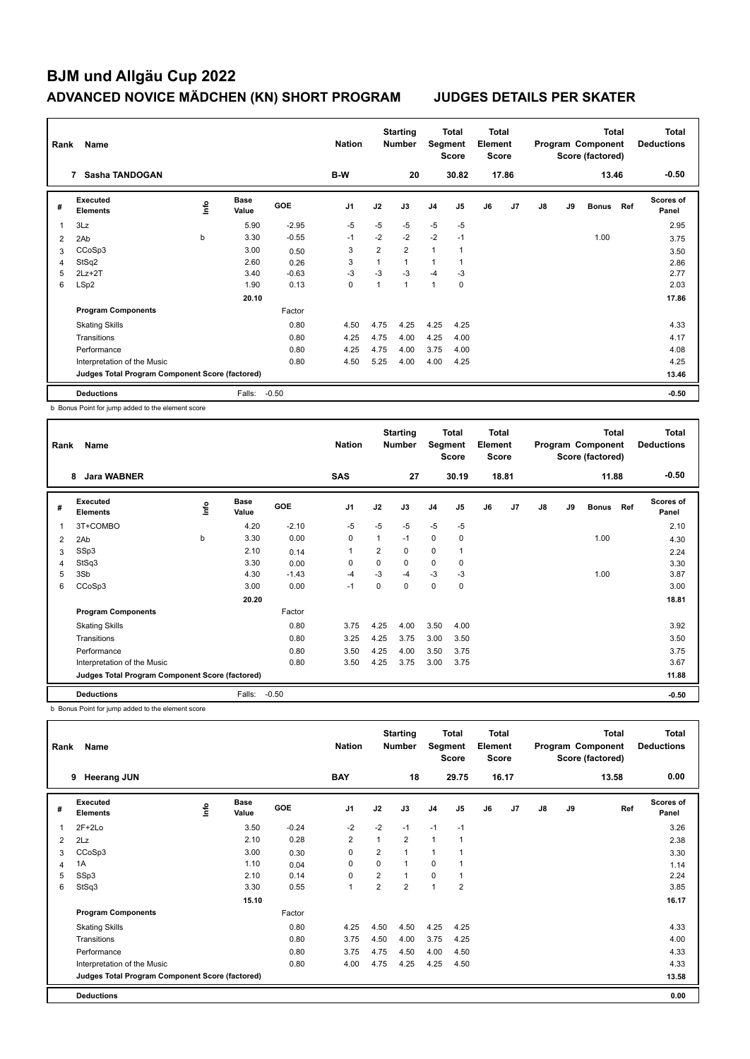| Rank | Name                                            |      |                      |            | <b>Nation</b>  |                | <b>Starting</b><br><b>Number</b> | Segment        | <b>Total</b><br><b>Score</b> | Total<br>Element<br><b>Score</b> |                |               |    | <b>Total</b><br>Program Component<br>Score (factored) |     | Total<br><b>Deductions</b> |
|------|-------------------------------------------------|------|----------------------|------------|----------------|----------------|----------------------------------|----------------|------------------------------|----------------------------------|----------------|---------------|----|-------------------------------------------------------|-----|----------------------------|
|      | Sasha TANDOGAN<br>7                             |      |                      |            | B-W            |                | 20                               |                | 30.82                        |                                  | 17.86          |               |    | 13.46                                                 |     | $-0.50$                    |
| #    | Executed<br><b>Elements</b>                     | lnfo | <b>Base</b><br>Value | <b>GOE</b> | J <sub>1</sub> | J2             | J3                               | J <sub>4</sub> | J5                           | J6                               | J <sub>7</sub> | $\mathsf{J}8$ | J9 | <b>Bonus</b>                                          | Ref | <b>Scores of</b><br>Panel  |
| 1    | 3Lz                                             |      | 5.90                 | $-2.95$    | $-5$           | $-5$           | $-5$                             | $-5$           | $-5$                         |                                  |                |               |    |                                                       |     | 2.95                       |
| 2    | 2Ab                                             | b    | 3.30                 | $-0.55$    | $-1$           | $-2$           | $-2$                             | $-2$           | $-1$                         |                                  |                |               |    | 1.00                                                  |     | 3.75                       |
| 3    | CCoSp3                                          |      | 3.00                 | 0.50       | 3              | $\overline{2}$ | $\overline{2}$                   | $\mathbf{1}$   | 1                            |                                  |                |               |    |                                                       |     | 3.50                       |
| 4    | StSq2                                           |      | 2.60                 | 0.26       | 3              | $\overline{1}$ | $\overline{1}$                   | 1              |                              |                                  |                |               |    |                                                       |     | 2.86                       |
| 5    | $2Lz+2T$                                        |      | 3.40                 | $-0.63$    | $-3$           | $-3$           | $-3$                             | $-4$           | -3                           |                                  |                |               |    |                                                       |     | 2.77                       |
| 6    | LSp2                                            |      | 1.90                 | 0.13       | $\mathbf 0$    | 1              | $\overline{1}$                   | $\mathbf{1}$   | $\mathbf 0$                  |                                  |                |               |    |                                                       |     | 2.03                       |
|      |                                                 |      | 20.10                |            |                |                |                                  |                |                              |                                  |                |               |    |                                                       |     | 17.86                      |
|      | <b>Program Components</b>                       |      |                      | Factor     |                |                |                                  |                |                              |                                  |                |               |    |                                                       |     |                            |
|      | <b>Skating Skills</b>                           |      |                      | 0.80       | 4.50           | 4.75           | 4.25                             | 4.25           | 4.25                         |                                  |                |               |    |                                                       |     | 4.33                       |
|      | Transitions                                     |      |                      | 0.80       | 4.25           | 4.75           | 4.00                             | 4.25           | 4.00                         |                                  |                |               |    |                                                       |     | 4.17                       |
|      | Performance                                     |      |                      | 0.80       | 4.25           | 4.75           | 4.00                             | 3.75           | 4.00                         |                                  |                |               |    |                                                       |     | 4.08                       |
|      | Interpretation of the Music                     |      |                      | 0.80       | 4.50           | 5.25           | 4.00                             | 4.00           | 4.25                         |                                  |                |               |    |                                                       |     | 4.25                       |
|      | Judges Total Program Component Score (factored) |      |                      |            |                |                |                                  |                |                              |                                  |                |               |    |                                                       |     | 13.46                      |
|      | <b>Deductions</b>                               |      | Falls:               | $-0.50$    |                |                |                                  |                |                              |                                  |                |               |    |                                                       |     | $-0.50$                    |

b Bonus Point for jump added to the element score

| Rank | Name                                            |      |                      |         | <b>Nation</b>  |                | <b>Starting</b><br><b>Number</b> | Segment        | <b>Total</b><br><b>Score</b> | Total<br>Element<br><b>Score</b> |                |    |    | <b>Total</b><br>Program Component<br>Score (factored) |     | <b>Total</b><br><b>Deductions</b> |
|------|-------------------------------------------------|------|----------------------|---------|----------------|----------------|----------------------------------|----------------|------------------------------|----------------------------------|----------------|----|----|-------------------------------------------------------|-----|-----------------------------------|
|      | <b>Jara WABNER</b><br>8                         |      |                      |         | <b>SAS</b>     |                | 27                               |                | 30.19                        |                                  | 18.81          |    |    | 11.88                                                 |     | $-0.50$                           |
| #    | Executed<br><b>Elements</b>                     | lnfo | <b>Base</b><br>Value | GOE     | J <sub>1</sub> | J2             | J3                               | J <sub>4</sub> | J <sub>5</sub>               | J6                               | J <sub>7</sub> | J8 | J9 | <b>Bonus</b>                                          | Ref | <b>Scores of</b><br>Panel         |
| 1    | 3T+COMBO                                        |      | 4.20                 | $-2.10$ | $-5$           | $-5$           | $-5$                             | $-5$           | $-5$                         |                                  |                |    |    |                                                       |     | 2.10                              |
| 2    | 2Ab                                             | b    | 3.30                 | 0.00    | $\mathbf 0$    | 1              | $-1$                             | $\mathbf 0$    | 0                            |                                  |                |    |    | 1.00                                                  |     | 4.30                              |
| 3    | SSp3                                            |      | 2.10                 | 0.14    | $\mathbf{1}$   | $\overline{2}$ | $\Omega$                         | $\mathbf 0$    |                              |                                  |                |    |    |                                                       |     | 2.24                              |
| 4    | StSq3                                           |      | 3.30                 | 0.00    | 0              | 0              | 0                                | $\pmb{0}$      | 0                            |                                  |                |    |    |                                                       |     | 3.30                              |
| 5    | 3Sb                                             |      | 4.30                 | $-1.43$ | $-4$           | $-3$           | $-4$                             | $-3$           | -3                           |                                  |                |    |    | 1.00                                                  |     | 3.87                              |
| 6    | CCoSp3                                          |      | 3.00                 | 0.00    | $-1$           | 0              | 0                                | 0              | 0                            |                                  |                |    |    |                                                       |     | 3.00                              |
|      |                                                 |      | 20.20                |         |                |                |                                  |                |                              |                                  |                |    |    |                                                       |     | 18.81                             |
|      | <b>Program Components</b>                       |      |                      | Factor  |                |                |                                  |                |                              |                                  |                |    |    |                                                       |     |                                   |
|      | <b>Skating Skills</b>                           |      |                      | 0.80    | 3.75           | 4.25           | 4.00                             | 3.50           | 4.00                         |                                  |                |    |    |                                                       |     | 3.92                              |
|      | Transitions                                     |      |                      | 0.80    | 3.25           | 4.25           | 3.75                             | 3.00           | 3.50                         |                                  |                |    |    |                                                       |     | 3.50                              |
|      | Performance                                     |      |                      | 0.80    | 3.50           | 4.25           | 4.00                             | 3.50           | 3.75                         |                                  |                |    |    |                                                       |     | 3.75                              |
|      | Interpretation of the Music                     |      |                      | 0.80    | 3.50           | 4.25           | 3.75                             | 3.00           | 3.75                         |                                  |                |    |    |                                                       |     | 3.67                              |
|      | Judges Total Program Component Score (factored) |      |                      |         |                |                |                                  |                |                              |                                  |                |    |    |                                                       |     | 11.88                             |
|      | <b>Deductions</b>                               |      | Falls:               | $-0.50$ |                |                |                                  |                |                              |                                  |                |    |    |                                                       |     | $-0.50$                           |

b Bonus Point for jump added to the element score

| Rank | Name                                            |      |                      |         | <b>Nation</b>  |                | <b>Starting</b><br><b>Number</b> | Segment        | Total<br><b>Score</b> | <b>Total</b><br>Element<br><b>Score</b> |       |    |    | <b>Total</b><br>Program Component<br>Score (factored) | <b>Total</b><br><b>Deductions</b> |
|------|-------------------------------------------------|------|----------------------|---------|----------------|----------------|----------------------------------|----------------|-----------------------|-----------------------------------------|-------|----|----|-------------------------------------------------------|-----------------------------------|
|      | <b>Heerang JUN</b><br>9                         |      |                      |         | <b>BAY</b>     |                | 18                               |                | 29.75                 |                                         | 16.17 |    |    | 13.58                                                 | 0.00                              |
| #    | <b>Executed</b><br><b>Elements</b>              | lnfo | <b>Base</b><br>Value | GOE     | J <sub>1</sub> | J2             | J3                               | J <sub>4</sub> | J <sub>5</sub>        | J6                                      | J7    | J8 | J9 | Ref                                                   | <b>Scores of</b><br>Panel         |
|      | $2F+2Lo$                                        |      | 3.50                 | $-0.24$ | $-2$           | $-2$           | $-1$                             | $-1$           | $-1$                  |                                         |       |    |    |                                                       | 3.26                              |
| 2    | 2Lz                                             |      | 2.10                 | 0.28    | $\overline{2}$ | $\overline{1}$ | $\overline{2}$                   | $\mathbf{1}$   | 1                     |                                         |       |    |    |                                                       | 2.38                              |
| 3    | CCoSp3                                          |      | 3.00                 | 0.30    | 0              | $\overline{2}$ | 1                                | $\overline{1}$ |                       |                                         |       |    |    |                                                       | 3.30                              |
| 4    | 1A                                              |      | 1.10                 | 0.04    | 0              | 0              | 1                                | 0              |                       |                                         |       |    |    |                                                       | 1.14                              |
| 5    | SSp3                                            |      | 2.10                 | 0.14    | 0              | 2              | 1                                | $\mathbf 0$    | 1                     |                                         |       |    |    |                                                       | 2.24                              |
| 6    | StSq3                                           |      | 3.30                 | 0.55    | $\mathbf{1}$   | 2              | $\overline{2}$                   | $\overline{1}$ | $\overline{2}$        |                                         |       |    |    |                                                       | 3.85                              |
|      |                                                 |      | 15.10                |         |                |                |                                  |                |                       |                                         |       |    |    |                                                       | 16.17                             |
|      | <b>Program Components</b>                       |      |                      | Factor  |                |                |                                  |                |                       |                                         |       |    |    |                                                       |                                   |
|      | <b>Skating Skills</b>                           |      |                      | 0.80    | 4.25           | 4.50           | 4.50                             | 4.25           | 4.25                  |                                         |       |    |    |                                                       | 4.33                              |
|      | Transitions                                     |      |                      | 0.80    | 3.75           | 4.50           | 4.00                             | 3.75           | 4.25                  |                                         |       |    |    |                                                       | 4.00                              |
|      | Performance                                     |      |                      | 0.80    | 3.75           | 4.75           | 4.50                             | 4.00           | 4.50                  |                                         |       |    |    |                                                       | 4.33                              |
|      | Interpretation of the Music                     |      |                      | 0.80    | 4.00           | 4.75           | 4.25                             | 4.25           | 4.50                  |                                         |       |    |    |                                                       | 4.33                              |
|      | Judges Total Program Component Score (factored) |      |                      |         |                |                |                                  |                |                       |                                         |       |    |    |                                                       | 13.58                             |
|      | <b>Deductions</b>                               |      |                      |         |                |                |                                  |                |                       |                                         |       |    |    |                                                       | 0.00                              |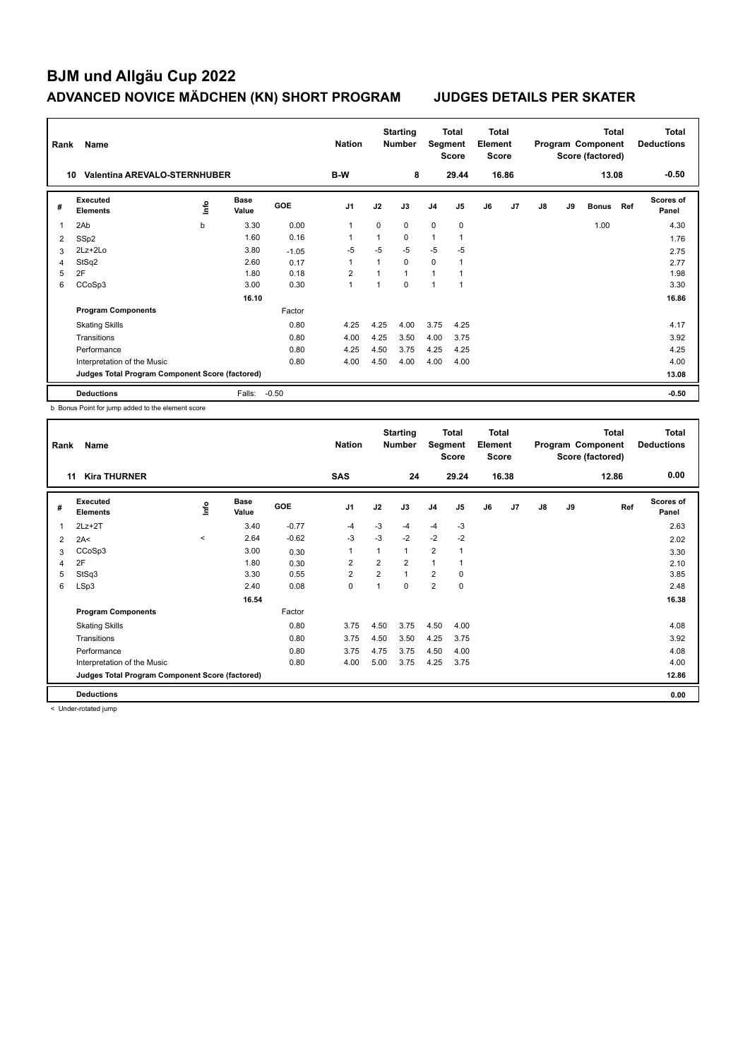| Rank           | Name                                            |             |                      |         | <b>Nation</b>  |              | <b>Starting</b><br><b>Number</b> | Segment        | Total<br><b>Score</b> | <b>Total</b><br>Element<br><b>Score</b> |                |               |    | <b>Total</b><br>Program Component<br>Score (factored) |     | <b>Total</b><br><b>Deductions</b> |
|----------------|-------------------------------------------------|-------------|----------------------|---------|----------------|--------------|----------------------------------|----------------|-----------------------|-----------------------------------------|----------------|---------------|----|-------------------------------------------------------|-----|-----------------------------------|
|                | <b>Valentina AREVALO-STERNHUBER</b><br>10       |             |                      |         | B-W            |              | 8                                |                | 29.44                 |                                         | 16.86          |               |    | 13.08                                                 |     | $-0.50$                           |
| #              | Executed<br><b>Elements</b>                     | lnfo        | <b>Base</b><br>Value | GOE     | J <sub>1</sub> | J2           | J3                               | J <sub>4</sub> | J <sub>5</sub>        | J6                                      | J <sub>7</sub> | $\mathsf{J}8$ | J9 | <b>Bonus</b>                                          | Ref | <b>Scores of</b><br>Panel         |
| $\overline{1}$ | 2Ab                                             | $\mathbf b$ | 3.30                 | 0.00    | $\overline{1}$ | $\mathbf 0$  | $\mathbf 0$                      | $\mathbf 0$    | 0                     |                                         |                |               |    | 1.00                                                  |     | 4.30                              |
| 2              | SSp2                                            |             | 1.60                 | 0.16    |                | $\mathbf{1}$ | $\Omega$                         | $\mathbf{1}$   |                       |                                         |                |               |    |                                                       |     | 1.76                              |
| 3              | 2Lz+2Lo                                         |             | 3.80                 | $-1.05$ | $-5$           | $-5$         | $-5$                             | $-5$           | $-5$                  |                                         |                |               |    |                                                       |     | 2.75                              |
| $\overline{4}$ | StSq2                                           |             | 2.60                 | 0.17    | $\overline{1}$ | $\mathbf{1}$ | $\Omega$                         | $\mathbf 0$    | $\overline{1}$        |                                         |                |               |    |                                                       |     | 2.77                              |
| 5              | 2F                                              |             | 1.80                 | 0.18    | $\overline{2}$ |              | $\overline{1}$                   | 1              |                       |                                         |                |               |    |                                                       |     | 1.98                              |
| 6              | CCoSp3                                          |             | 3.00                 | 0.30    | 1              | 1            | $\Omega$                         | $\overline{1}$ | -1                    |                                         |                |               |    |                                                       |     | 3.30                              |
|                |                                                 |             | 16.10                |         |                |              |                                  |                |                       |                                         |                |               |    |                                                       |     | 16.86                             |
|                | <b>Program Components</b>                       |             |                      | Factor  |                |              |                                  |                |                       |                                         |                |               |    |                                                       |     |                                   |
|                | <b>Skating Skills</b>                           |             |                      | 0.80    | 4.25           | 4.25         | 4.00                             | 3.75           | 4.25                  |                                         |                |               |    |                                                       |     | 4.17                              |
|                | Transitions                                     |             |                      | 0.80    | 4.00           | 4.25         | 3.50                             | 4.00           | 3.75                  |                                         |                |               |    |                                                       |     | 3.92                              |
|                | Performance                                     |             |                      | 0.80    | 4.25           | 4.50         | 3.75                             | 4.25           | 4.25                  |                                         |                |               |    |                                                       |     | 4.25                              |
|                | Interpretation of the Music                     |             |                      | 0.80    | 4.00           | 4.50         | 4.00                             | 4.00           | 4.00                  |                                         |                |               |    |                                                       |     | 4.00                              |
|                | Judges Total Program Component Score (factored) |             |                      |         |                |              |                                  |                |                       |                                         |                |               |    |                                                       |     | 13.08                             |
|                | <b>Deductions</b>                               |             | Falls:               | $-0.50$ |                |              |                                  |                |                       |                                         |                |               |    |                                                       |     | $-0.50$                           |

b Bonus Point for jump added to the element score

| Rank | Name                                            |         |                      |         | <b>Nation</b>  |                | <b>Starting</b><br><b>Number</b> |                | <b>Total</b><br>Segment<br><b>Score</b> | <b>Total</b><br>Element<br>Score |                |    |    | <b>Total</b><br>Program Component<br>Score (factored) | <b>Total</b><br><b>Deductions</b> |
|------|-------------------------------------------------|---------|----------------------|---------|----------------|----------------|----------------------------------|----------------|-----------------------------------------|----------------------------------|----------------|----|----|-------------------------------------------------------|-----------------------------------|
|      | <b>Kira THURNER</b><br>11                       |         |                      |         | <b>SAS</b>     |                | 24                               |                | 29.24                                   |                                  | 16.38          |    |    | 12.86                                                 | 0.00                              |
| #    | Executed<br><b>Elements</b>                     | ١m      | <b>Base</b><br>Value | GOE     | J <sub>1</sub> | J2             | J3                               | J <sub>4</sub> | J <sub>5</sub>                          | J6                               | J <sub>7</sub> | J8 | J9 | Ref                                                   | <b>Scores of</b><br>Panel         |
| 1    | $2Lz+2T$                                        |         | 3.40                 | $-0.77$ | $-4$           | $-3$           | -4                               | $-4$           | -3                                      |                                  |                |    |    |                                                       | 2.63                              |
| 2    | 2A<                                             | $\,<\,$ | 2.64                 | $-0.62$ | $-3$           | $-3$           | $-2$                             | $-2$           | $-2$                                    |                                  |                |    |    |                                                       | 2.02                              |
| 3    | CCoSp3                                          |         | 3.00                 | 0.30    | -1             | $\mathbf{1}$   | $\mathbf{1}$                     | $\overline{2}$ | 1                                       |                                  |                |    |    |                                                       | 3.30                              |
| 4    | 2F                                              |         | 1.80                 | 0.30    | 2              | $\overline{2}$ | $\overline{2}$                   | $\overline{1}$ |                                         |                                  |                |    |    |                                                       | 2.10                              |
| 5    | StSq3                                           |         | 3.30                 | 0.55    | $\overline{2}$ | $\overline{2}$ | $\overline{1}$                   | $\overline{2}$ | 0                                       |                                  |                |    |    |                                                       | 3.85                              |
| 6    | LSp3                                            |         | 2.40                 | 0.08    | $\mathbf 0$    | $\overline{1}$ | $\Omega$                         | $\overline{2}$ | $\mathbf 0$                             |                                  |                |    |    |                                                       | 2.48                              |
|      |                                                 |         | 16.54                |         |                |                |                                  |                |                                         |                                  |                |    |    |                                                       | 16.38                             |
|      | <b>Program Components</b>                       |         |                      | Factor  |                |                |                                  |                |                                         |                                  |                |    |    |                                                       |                                   |
|      | <b>Skating Skills</b>                           |         |                      | 0.80    | 3.75           | 4.50           | 3.75                             | 4.50           | 4.00                                    |                                  |                |    |    |                                                       | 4.08                              |
|      | Transitions                                     |         |                      | 0.80    | 3.75           | 4.50           | 3.50                             | 4.25           | 3.75                                    |                                  |                |    |    |                                                       | 3.92                              |
|      | Performance                                     |         |                      | 0.80    | 3.75           | 4.75           | 3.75                             | 4.50           | 4.00                                    |                                  |                |    |    |                                                       | 4.08                              |
|      | Interpretation of the Music                     |         |                      | 0.80    | 4.00           | 5.00           | 3.75                             | 4.25           | 3.75                                    |                                  |                |    |    |                                                       | 4.00                              |
|      | Judges Total Program Component Score (factored) |         |                      |         |                |                |                                  |                |                                         |                                  |                |    |    |                                                       | 12.86                             |
|      | <b>Deductions</b>                               |         |                      |         |                |                |                                  |                |                                         |                                  |                |    |    |                                                       | 0.00                              |

< Under-rotated jump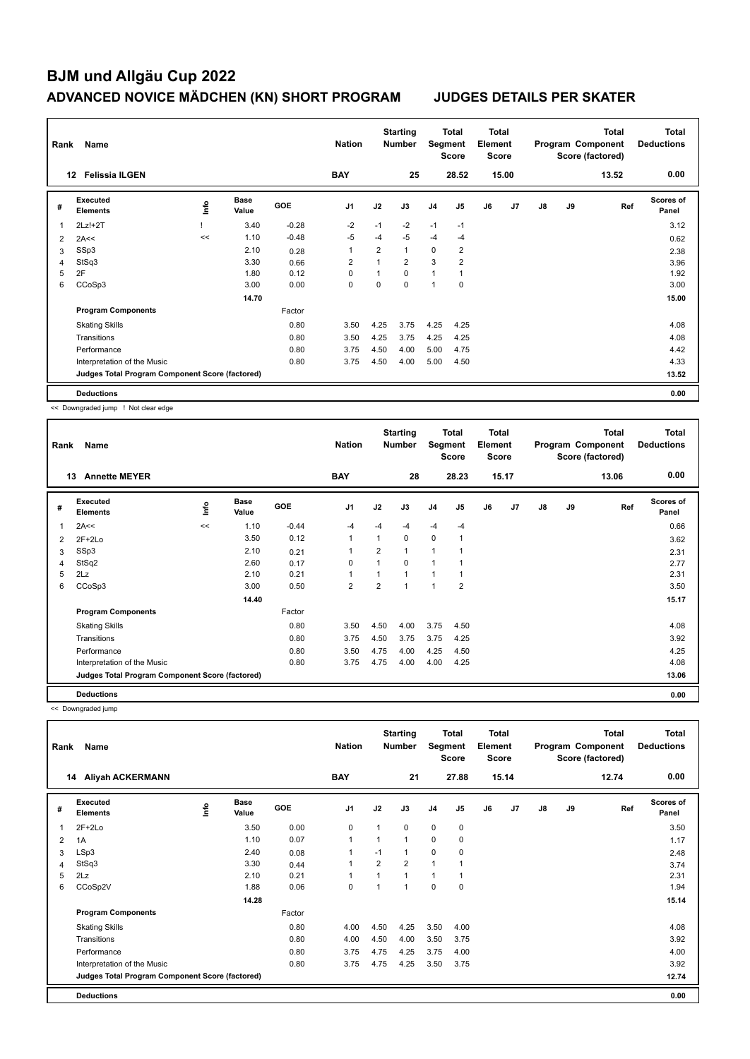| Rank | Name                                            |      |                      |            | <b>Nation</b>  |                | <b>Starting</b><br><b>Number</b> |                | <b>Total</b><br>Segment<br><b>Score</b> | <b>Total</b><br>Element<br><b>Score</b> |       |               |    | <b>Total</b><br>Program Component<br>Score (factored) | Total<br><b>Deductions</b> |
|------|-------------------------------------------------|------|----------------------|------------|----------------|----------------|----------------------------------|----------------|-----------------------------------------|-----------------------------------------|-------|---------------|----|-------------------------------------------------------|----------------------------|
|      | <b>Felissia ILGEN</b><br>12                     |      |                      |            | <b>BAY</b>     |                | 25                               |                | 28.52                                   |                                         | 15.00 |               |    | 13.52                                                 | 0.00                       |
| #    | Executed<br><b>Elements</b>                     | lnfo | <b>Base</b><br>Value | <b>GOE</b> | J <sub>1</sub> | J2             | J3                               | J <sub>4</sub> | J5                                      | J6                                      | J7    | $\mathsf{J}8$ | J9 | Ref                                                   | <b>Scores of</b><br>Panel  |
| 1    | $2Lz!+2T$                                       |      | 3.40                 | $-0.28$    | $-2$           | $-1$           | $-2$                             | $-1$           | $-1$                                    |                                         |       |               |    |                                                       | 3.12                       |
| 2    | 2A<<                                            | <<   | 1.10                 | $-0.48$    | $-5$           | $-4$           | $-5$                             | $-4$           | $-4$                                    |                                         |       |               |    |                                                       | 0.62                       |
| 3    | SSp3                                            |      | 2.10                 | 0.28       | 1              | $\overline{2}$ | $\mathbf{1}$                     | $\Omega$       | $\overline{2}$                          |                                         |       |               |    |                                                       | 2.38                       |
| 4    | StSq3                                           |      | 3.30                 | 0.66       | $\overline{2}$ | $\overline{ }$ | $\overline{2}$                   | 3              | $\overline{2}$                          |                                         |       |               |    |                                                       | 3.96                       |
| 5    | 2F                                              |      | 1.80                 | 0.12       | $\Omega$       | 1              | $\Omega$                         | $\mathbf{1}$   | 1                                       |                                         |       |               |    |                                                       | 1.92                       |
| 6    | CCoSp3                                          |      | 3.00                 | 0.00       | 0              | 0              | $\mathbf 0$                      | 1              | 0                                       |                                         |       |               |    |                                                       | 3.00                       |
|      |                                                 |      | 14.70                |            |                |                |                                  |                |                                         |                                         |       |               |    |                                                       | 15.00                      |
|      | <b>Program Components</b>                       |      |                      | Factor     |                |                |                                  |                |                                         |                                         |       |               |    |                                                       |                            |
|      | <b>Skating Skills</b>                           |      |                      | 0.80       | 3.50           | 4.25           | 3.75                             | 4.25           | 4.25                                    |                                         |       |               |    |                                                       | 4.08                       |
|      | Transitions                                     |      |                      | 0.80       | 3.50           | 4.25           | 3.75                             | 4.25           | 4.25                                    |                                         |       |               |    |                                                       | 4.08                       |
|      | Performance                                     |      |                      | 0.80       | 3.75           | 4.50           | 4.00                             | 5.00           | 4.75                                    |                                         |       |               |    |                                                       | 4.42                       |
|      | Interpretation of the Music                     |      |                      | 0.80       | 3.75           | 4.50           | 4.00                             | 5.00           | 4.50                                    |                                         |       |               |    |                                                       | 4.33                       |
|      | Judges Total Program Component Score (factored) |      |                      |            |                |                |                                  |                |                                         |                                         |       |               |    |                                                       | 13.52                      |
|      | <b>Deductions</b>                               |      |                      |            |                |                |                                  |                |                                         |                                         |       |               |    |                                                       | 0.00                       |

<< Downgraded jump ! Not clear edge

| Rank | Name                                            |      | <b>Nation</b>        |            | <b>Starting</b><br><b>Number</b> | Segment        | Total<br>Score | <b>Total</b><br>Element<br><b>Score</b> |                |    |       | <b>Total</b><br>Program Component<br>Score (factored) | <b>Total</b><br><b>Deductions</b> |       |                           |
|------|-------------------------------------------------|------|----------------------|------------|----------------------------------|----------------|----------------|-----------------------------------------|----------------|----|-------|-------------------------------------------------------|-----------------------------------|-------|---------------------------|
|      | 13<br><b>Annette MEYER</b>                      |      |                      |            | <b>BAY</b>                       |                | 28             |                                         | 28.23          |    | 15.17 |                                                       |                                   | 13.06 | 0.00                      |
| #    | <b>Executed</b><br><b>Elements</b>              | lnfo | <b>Base</b><br>Value | <b>GOE</b> | J <sub>1</sub>                   | J2             | J3             | J <sub>4</sub>                          | J5             | J6 | J7    | J8                                                    | J9                                | Ref   | <b>Scores of</b><br>Panel |
| 1    | 2A<<                                            | <<   | 1.10                 | $-0.44$    | $-4$                             | $-4$           | $-4$           | $-4$                                    | $-4$           |    |       |                                                       |                                   |       | 0.66                      |
| 2    | $2F+2Lo$                                        |      | 3.50                 | 0.12       | 1                                | 1              | 0              | $\pmb{0}$                               | 1              |    |       |                                                       |                                   |       | 3.62                      |
| 3    | SSp3                                            |      | 2.10                 | 0.21       | 1                                | 2              | 1              | $\mathbf{1}$                            |                |    |       |                                                       |                                   |       | 2.31                      |
| 4    | StSq2                                           |      | 2.60                 | 0.17       | 0                                | $\overline{1}$ | 0              | $\overline{1}$                          |                |    |       |                                                       |                                   |       | 2.77                      |
| 5    | 2Lz                                             |      | 2.10                 | 0.21       | $\overline{ }$                   | $\overline{ }$ | $\overline{A}$ | $\overline{1}$                          |                |    |       |                                                       |                                   |       | 2.31                      |
| 6    | CCoSp3                                          |      | 3.00                 | 0.50       | $\overline{2}$                   | $\overline{2}$ |                | $\overline{ }$                          | $\overline{2}$ |    |       |                                                       |                                   |       | 3.50                      |
|      |                                                 |      | 14.40                |            |                                  |                |                |                                         |                |    |       |                                                       |                                   |       | 15.17                     |
|      | <b>Program Components</b>                       |      |                      | Factor     |                                  |                |                |                                         |                |    |       |                                                       |                                   |       |                           |
|      | <b>Skating Skills</b>                           |      |                      | 0.80       | 3.50                             | 4.50           | 4.00           | 3.75                                    | 4.50           |    |       |                                                       |                                   |       | 4.08                      |
|      | Transitions                                     |      |                      | 0.80       | 3.75                             | 4.50           | 3.75           | 3.75                                    | 4.25           |    |       |                                                       |                                   |       | 3.92                      |
|      | Performance                                     |      |                      | 0.80       | 3.50                             | 4.75           | 4.00           | 4.25                                    | 4.50           |    |       |                                                       |                                   |       | 4.25                      |
|      | Interpretation of the Music                     |      |                      | 0.80       | 3.75                             | 4.75           | 4.00           | 4.00                                    | 4.25           |    |       |                                                       |                                   |       | 4.08                      |
|      | Judges Total Program Component Score (factored) |      |                      |            |                                  |                |                |                                         |                |    |       |                                                       |                                   |       | 13.06                     |
|      | <b>Deductions</b>                               |      |                      |            |                                  |                |                |                                         |                |    |       |                                                       |                                   |       | 0.00                      |

<< Downgraded jump

| Rank | Name                                            |      | <b>Nation</b>        |        | <b>Starting</b><br><b>Number</b> | Segment                  | <b>Total</b><br><b>Score</b> | <b>Total</b><br>Element<br><b>Score</b> |             |    |       | <b>Total</b><br>Program Component<br>Score (factored) | Total<br><b>Deductions</b> |       |                           |
|------|-------------------------------------------------|------|----------------------|--------|----------------------------------|--------------------------|------------------------------|-----------------------------------------|-------------|----|-------|-------------------------------------------------------|----------------------------|-------|---------------------------|
|      | <b>Aliyah ACKERMANN</b><br>14                   |      |                      |        | <b>BAY</b>                       |                          | 21                           |                                         | 27.88       |    | 15.14 |                                                       |                            | 12.74 | 0.00                      |
| #    | <b>Executed</b><br><b>Elements</b>              | ١nf٥ | <b>Base</b><br>Value | GOE    | J <sub>1</sub>                   | J2                       | J3                           | J <sub>4</sub>                          | J5          | J6 | J7    | $\mathsf{J}8$                                         | J9                         | Ref   | <b>Scores of</b><br>Panel |
| 1    | $2F+2Lo$                                        |      | 3.50                 | 0.00   | $\mathbf 0$                      | 1                        | $\Omega$                     | $\mathbf 0$                             | $\mathbf 0$ |    |       |                                                       |                            |       | 3.50                      |
| 2    | 1A                                              |      | 1.10                 | 0.07   | $\overline{1}$                   | $\overline{\phantom{a}}$ | $\overline{A}$               | 0                                       | 0           |    |       |                                                       |                            |       | 1.17                      |
| 3    | LSp3                                            |      | 2.40                 | 0.08   | 1                                | $-1$                     |                              | $\mathbf 0$                             | 0           |    |       |                                                       |                            |       | 2.48                      |
| 4    | StSq3                                           |      | 3.30                 | 0.44   | 1                                | $\overline{2}$           | $\overline{2}$               | 1                                       | 1           |    |       |                                                       |                            |       | 3.74                      |
| 5    | 2Lz                                             |      | 2.10                 | 0.21   | 1                                |                          | 1                            | 1                                       | 1           |    |       |                                                       |                            |       | 2.31                      |
| 6    | CCoSp2V                                         |      | 1.88                 | 0.06   | 0                                | $\overline{\phantom{a}}$ | 1                            | $\mathbf 0$                             | 0           |    |       |                                                       |                            |       | 1.94                      |
|      |                                                 |      | 14.28                |        |                                  |                          |                              |                                         |             |    |       |                                                       |                            |       | 15.14                     |
|      | <b>Program Components</b>                       |      |                      | Factor |                                  |                          |                              |                                         |             |    |       |                                                       |                            |       |                           |
|      | <b>Skating Skills</b>                           |      |                      | 0.80   | 4.00                             | 4.50                     | 4.25                         | 3.50                                    | 4.00        |    |       |                                                       |                            |       | 4.08                      |
|      | Transitions                                     |      |                      | 0.80   | 4.00                             | 4.50                     | 4.00                         | 3.50                                    | 3.75        |    |       |                                                       |                            |       | 3.92                      |
|      | Performance                                     |      |                      | 0.80   | 3.75                             | 4.75                     | 4.25                         | 3.75                                    | 4.00        |    |       |                                                       |                            |       | 4.00                      |
|      | Interpretation of the Music                     |      |                      | 0.80   | 3.75                             | 4.75                     | 4.25                         | 3.50                                    | 3.75        |    |       |                                                       |                            |       | 3.92                      |
|      | Judges Total Program Component Score (factored) |      |                      |        |                                  |                          |                              |                                         |             |    |       |                                                       |                            |       | 12.74                     |
|      | <b>Deductions</b>                               |      |                      |        |                                  |                          |                              |                                         |             |    |       |                                                       |                            |       | 0.00                      |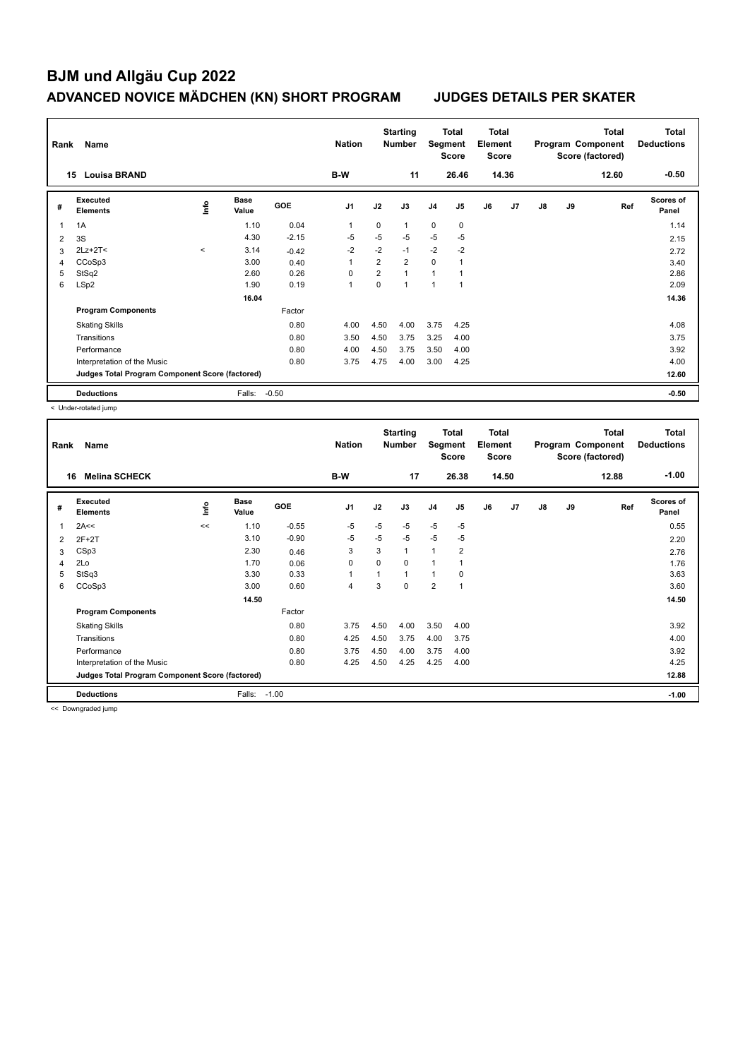| Rank | Name                                            |                          |                      |            | <b>Nation</b>  |                | <b>Starting</b><br><b>Number</b> | Segment        | Total<br><b>Score</b>    | <b>Total</b><br>Element<br><b>Score</b> |                |    |    | <b>Total</b><br>Program Component<br>Score (factored) | Total<br><b>Deductions</b> |
|------|-------------------------------------------------|--------------------------|----------------------|------------|----------------|----------------|----------------------------------|----------------|--------------------------|-----------------------------------------|----------------|----|----|-------------------------------------------------------|----------------------------|
|      | 15<br><b>Louisa BRAND</b>                       |                          |                      |            | B-W            |                | 11                               |                | 26.46                    |                                         | 14.36          |    |    | 12.60                                                 | $-0.50$                    |
| #    | Executed<br><b>Elements</b>                     | ۴                        | <b>Base</b><br>Value | <b>GOE</b> | J <sub>1</sub> | J2             | J3                               | J <sub>4</sub> | J <sub>5</sub>           | J6                                      | J <sub>7</sub> | J8 | J9 | Ref                                                   | <b>Scores of</b><br>Panel  |
| 1    | 1A                                              |                          | 1.10                 | 0.04       | 1              | 0              | 1                                | 0              | 0                        |                                         |                |    |    |                                                       | 1.14                       |
| 2    | 3S                                              |                          | 4.30                 | $-2.15$    | $-5$           | $-5$           | $-5$                             | $-5$           | $-5$                     |                                         |                |    |    |                                                       | 2.15                       |
| 3    | $2Lz+2T<$                                       | $\overline{\phantom{a}}$ | 3.14                 | $-0.42$    | $-2$           | $-2$           | $-1$                             | $-2$           | $-2$                     |                                         |                |    |    |                                                       | 2.72                       |
| 4    | CCoSp3                                          |                          | 3.00                 | 0.40       | 1              | $\overline{2}$ | $\overline{2}$                   | $\Omega$       | 1                        |                                         |                |    |    |                                                       | 3.40                       |
| 5    | StSq2                                           |                          | 2.60                 | 0.26       | $\Omega$       | $\overline{2}$ | $\overline{1}$                   | $\overline{1}$ |                          |                                         |                |    |    |                                                       | 2.86                       |
| 6    | LSp2                                            |                          | 1.90                 | 0.19       | 1              | 0              | $\overline{1}$                   | $\overline{1}$ | $\overline{\phantom{a}}$ |                                         |                |    |    |                                                       | 2.09                       |
|      |                                                 |                          | 16.04                |            |                |                |                                  |                |                          |                                         |                |    |    |                                                       | 14.36                      |
|      | <b>Program Components</b>                       |                          |                      | Factor     |                |                |                                  |                |                          |                                         |                |    |    |                                                       |                            |
|      | <b>Skating Skills</b>                           |                          |                      | 0.80       | 4.00           | 4.50           | 4.00                             | 3.75           | 4.25                     |                                         |                |    |    |                                                       | 4.08                       |
|      | Transitions                                     |                          |                      | 0.80       | 3.50           | 4.50           | 3.75                             | 3.25           | 4.00                     |                                         |                |    |    |                                                       | 3.75                       |
|      | Performance                                     |                          |                      | 0.80       | 4.00           | 4.50           | 3.75                             | 3.50           | 4.00                     |                                         |                |    |    |                                                       | 3.92                       |
|      | Interpretation of the Music                     |                          |                      | 0.80       | 3.75           | 4.75           | 4.00                             | 3.00           | 4.25                     |                                         |                |    |    |                                                       | 4.00                       |
|      | Judges Total Program Component Score (factored) |                          |                      |            |                |                |                                  |                |                          |                                         |                |    |    |                                                       | 12.60                      |
|      | <b>Deductions</b>                               |                          | Falls:               | $-0.50$    |                |                |                                  |                |                          |                                         |                |    |    |                                                       | $-0.50$                    |

< Under-rotated jump

| Rank | Name                                            |      | <b>Nation</b>        |         | <b>Starting</b><br><b>Number</b> | Segment | Total<br>Score | <b>Total</b><br>Element<br><b>Score</b> |                |    |       | <b>Total</b><br>Program Component<br>Score (factored) | Total<br><b>Deductions</b> |       |                           |
|------|-------------------------------------------------|------|----------------------|---------|----------------------------------|---------|----------------|-----------------------------------------|----------------|----|-------|-------------------------------------------------------|----------------------------|-------|---------------------------|
|      | <b>Melina SCHECK</b><br>16                      |      |                      |         | B-W                              |         | 17             |                                         | 26.38          |    | 14.50 |                                                       |                            | 12.88 | $-1.00$                   |
| #    | Executed<br><b>Elements</b>                     | lnfo | <b>Base</b><br>Value | GOE     | J <sub>1</sub>                   | J2      | J3             | J <sub>4</sub>                          | J5             | J6 | J7    | J8                                                    | J9                         | Ref   | <b>Scores of</b><br>Panel |
| 1    | 2A<<                                            | <<   | 1.10                 | $-0.55$ | $-5$                             | $-5$    | $-5$           | $-5$                                    | $-5$           |    |       |                                                       |                            |       | 0.55                      |
| 2    | $2F+2T$                                         |      | 3.10                 | $-0.90$ | -5                               | $-5$    | $-5$           | $-5$                                    | $-5$           |    |       |                                                       |                            |       | 2.20                      |
| 3    | CSp3                                            |      | 2.30                 | 0.46    | 3                                | 3       | $\mathbf{1}$   | $\overline{1}$                          | $\overline{2}$ |    |       |                                                       |                            |       | 2.76                      |
| 4    | 2Lo                                             |      | 1.70                 | 0.06    | 0                                | 0       | 0              | 1                                       |                |    |       |                                                       |                            |       | 1.76                      |
| 5    | StSq3                                           |      | 3.30                 | 0.33    | $\mathbf{1}$                     | 1       | $\mathbf{1}$   | $\overline{1}$                          | 0              |    |       |                                                       |                            |       | 3.63                      |
| 6    | CCoSp3                                          |      | 3.00                 | 0.60    | $\overline{4}$                   | 3       | 0              | $\overline{2}$                          | 1              |    |       |                                                       |                            |       | 3.60                      |
|      |                                                 |      | 14.50                |         |                                  |         |                |                                         |                |    |       |                                                       |                            |       | 14.50                     |
|      | <b>Program Components</b>                       |      |                      | Factor  |                                  |         |                |                                         |                |    |       |                                                       |                            |       |                           |
|      | <b>Skating Skills</b>                           |      |                      | 0.80    | 3.75                             | 4.50    | 4.00           | 3.50                                    | 4.00           |    |       |                                                       |                            |       | 3.92                      |
|      | Transitions                                     |      |                      | 0.80    | 4.25                             | 4.50    | 3.75           | 4.00                                    | 3.75           |    |       |                                                       |                            |       | 4.00                      |
|      | Performance                                     |      |                      | 0.80    | 3.75                             | 4.50    | 4.00           | 3.75                                    | 4.00           |    |       |                                                       |                            |       | 3.92                      |
|      | Interpretation of the Music                     |      |                      | 0.80    | 4.25                             | 4.50    | 4.25           | 4.25                                    | 4.00           |    |       |                                                       |                            |       | 4.25                      |
|      | Judges Total Program Component Score (factored) |      |                      |         |                                  |         |                |                                         |                |    |       |                                                       |                            |       | 12.88                     |
|      | <b>Deductions</b>                               |      | Falls:               | $-1.00$ |                                  |         |                |                                         |                |    |       |                                                       |                            |       | $-1.00$                   |

<< Downgraded jump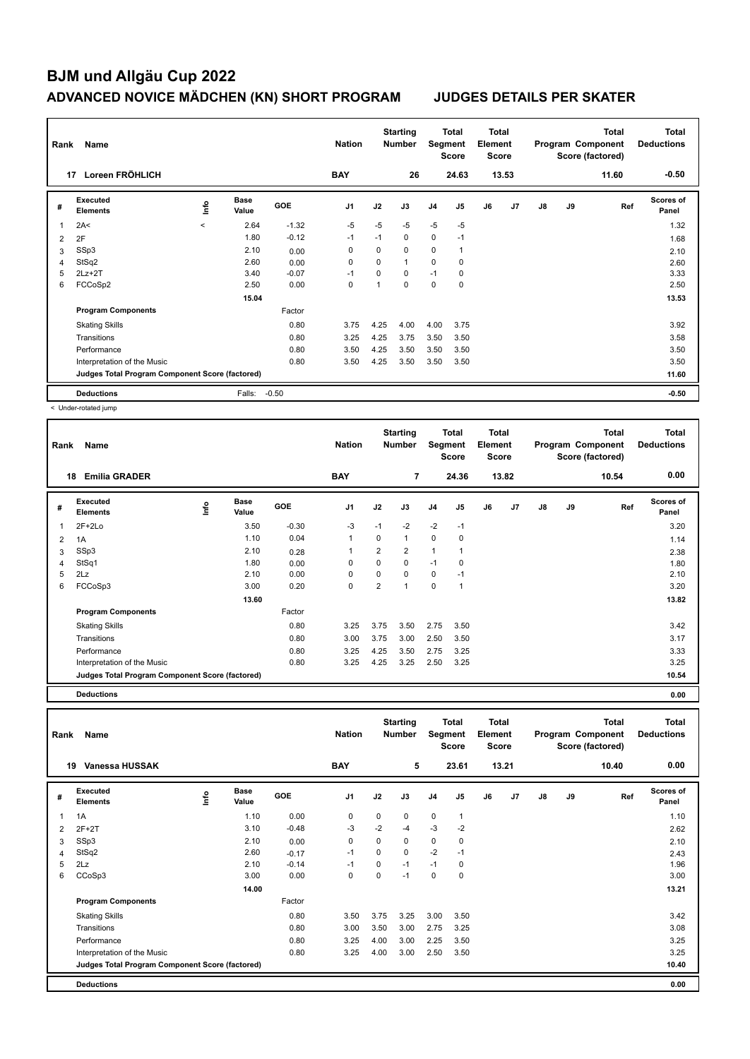| Rank | Name                                            |         |                      |            | <b>Nation</b>  |          | <b>Starting</b><br><b>Number</b> | Segment        | Total<br><b>Score</b> | <b>Total</b><br>Element<br><b>Score</b> |                |               |    | <b>Total</b><br>Program Component<br>Score (factored) | Total<br><b>Deductions</b> |
|------|-------------------------------------------------|---------|----------------------|------------|----------------|----------|----------------------------------|----------------|-----------------------|-----------------------------------------|----------------|---------------|----|-------------------------------------------------------|----------------------------|
|      | Loreen FRÖHLICH<br>17                           |         |                      |            | <b>BAY</b>     |          | 26                               |                | 24.63                 |                                         | 13.53          |               |    | 11.60                                                 | $-0.50$                    |
| #    | Executed<br><b>Elements</b>                     | lnfo    | <b>Base</b><br>Value | <b>GOE</b> | J <sub>1</sub> | J2       | J3                               | J <sub>4</sub> | J <sub>5</sub>        | J6                                      | J <sub>7</sub> | $\mathsf{J}8$ | J9 | Ref                                                   | Scores of<br>Panel         |
| 1    | 2A<                                             | $\prec$ | 2.64                 | $-1.32$    | $-5$           | $-5$     | $-5$                             | $-5$           | $-5$                  |                                         |                |               |    |                                                       | 1.32                       |
| 2    | 2F                                              |         | 1.80                 | $-0.12$    | $-1$           | $-1$     | $\mathbf 0$                      | $\mathbf 0$    | $-1$                  |                                         |                |               |    |                                                       | 1.68                       |
| 3    | SSp3                                            |         | 2.10                 | 0.00       | 0              | 0        | $\mathbf 0$                      | $\mathbf 0$    | $\overline{1}$        |                                         |                |               |    |                                                       | 2.10                       |
| 4    | StSq2                                           |         | 2.60                 | 0.00       | 0              | $\Omega$ | $\mathbf{1}$                     | 0              | 0                     |                                         |                |               |    |                                                       | 2.60                       |
| 5    | $2Lz+2T$                                        |         | 3.40                 | $-0.07$    | $-1$           | 0        | $\mathbf 0$                      | $-1$           | 0                     |                                         |                |               |    |                                                       | 3.33                       |
| 6    | FCCoSp2                                         |         | 2.50                 | 0.00       | 0              | 1        | $\mathbf 0$                      | $\mathbf 0$    | $\mathbf 0$           |                                         |                |               |    |                                                       | 2.50                       |
|      |                                                 |         | 15.04                |            |                |          |                                  |                |                       |                                         |                |               |    |                                                       | 13.53                      |
|      | <b>Program Components</b>                       |         |                      | Factor     |                |          |                                  |                |                       |                                         |                |               |    |                                                       |                            |
|      | <b>Skating Skills</b>                           |         |                      | 0.80       | 3.75           | 4.25     | 4.00                             | 4.00           | 3.75                  |                                         |                |               |    |                                                       | 3.92                       |
|      | Transitions                                     |         |                      | 0.80       | 3.25           | 4.25     | 3.75                             | 3.50           | 3.50                  |                                         |                |               |    |                                                       | 3.58                       |
|      | Performance                                     |         |                      | 0.80       | 3.50           | 4.25     | 3.50                             | 3.50           | 3.50                  |                                         |                |               |    |                                                       | 3.50                       |
|      | Interpretation of the Music                     |         |                      | 0.80       | 3.50           | 4.25     | 3.50                             | 3.50           | 3.50                  |                                         |                |               |    |                                                       | 3.50                       |
|      | Judges Total Program Component Score (factored) |         |                      |            |                |          |                                  |                |                       |                                         |                |               |    |                                                       | 11.60                      |
|      | <b>Deductions</b>                               |         | Falls:               | $-0.50$    |                |          |                                  |                |                       |                                         |                |               |    |                                                       | $-0.50$                    |

< Under-rotated jump

| Rank | Name                                            |      |                      |            | <b>Nation</b>  |                | <b>Starting</b><br><b>Number</b> | Segment        | Total<br><b>Score</b> | <b>Total</b><br>Element<br><b>Score</b> |       |    |    | <b>Total</b><br>Program Component<br>Score (factored) | <b>Total</b><br><b>Deductions</b> |
|------|-------------------------------------------------|------|----------------------|------------|----------------|----------------|----------------------------------|----------------|-----------------------|-----------------------------------------|-------|----|----|-------------------------------------------------------|-----------------------------------|
|      | 18<br><b>Emilia GRADER</b>                      |      |                      |            | <b>BAY</b>     |                | $\overline{7}$                   |                | 24.36                 |                                         | 13.82 |    |    | 10.54                                                 | 0.00                              |
| #    | <b>Executed</b><br><b>Elements</b>              | ١mfo | <b>Base</b><br>Value | <b>GOE</b> | J <sub>1</sub> | J2             | J3                               | J <sub>4</sub> | J <sub>5</sub>        | J6                                      | J7    | J8 | J9 | Ref                                                   | <b>Scores of</b><br>Panel         |
| 1    | $2F+2Lo$                                        |      | 3.50                 | $-0.30$    | $-3$           | $-1$           | $-2$                             | $-2$           | $-1$                  |                                         |       |    |    |                                                       | 3.20                              |
| 2    | 1A                                              |      | 1.10                 | 0.04       | $\mathbf{1}$   | 0              | $\mathbf{1}$                     | $\mathbf 0$    | 0                     |                                         |       |    |    |                                                       | 1.14                              |
| 3    | SSp3                                            |      | 2.10                 | 0.28       |                | $\overline{2}$ | 2                                | $\overline{1}$ | 1                     |                                         |       |    |    |                                                       | 2.38                              |
| 4    | StSq1                                           |      | 1.80                 | 0.00       | 0              | 0              | 0                                | $-1$           | 0                     |                                         |       |    |    |                                                       | 1.80                              |
| 5    | 2Lz                                             |      | 2.10                 | 0.00       | $\mathbf 0$    | 0              | 0                                | 0              | $-1$                  |                                         |       |    |    |                                                       | 2.10                              |
| 6    | FCCoSp3                                         |      | 3.00                 | 0.20       | $\Omega$       | $\overline{2}$ | $\mathbf{1}$                     | $\mathbf 0$    | $\overline{1}$        |                                         |       |    |    |                                                       | 3.20                              |
|      |                                                 |      | 13.60                |            |                |                |                                  |                |                       |                                         |       |    |    |                                                       | 13.82                             |
|      | <b>Program Components</b>                       |      |                      | Factor     |                |                |                                  |                |                       |                                         |       |    |    |                                                       |                                   |
|      | <b>Skating Skills</b>                           |      |                      | 0.80       | 3.25           | 3.75           | 3.50                             | 2.75           | 3.50                  |                                         |       |    |    |                                                       | 3.42                              |
|      | Transitions                                     |      |                      | 0.80       | 3.00           | 3.75           | 3.00                             | 2.50           | 3.50                  |                                         |       |    |    |                                                       | 3.17                              |
|      | Performance                                     |      |                      | 0.80       | 3.25           | 4.25           | 3.50                             | 2.75           | 3.25                  |                                         |       |    |    |                                                       | 3.33                              |
|      | Interpretation of the Music                     |      |                      | 0.80       | 3.25           | 4.25           | 3.25                             | 2.50           | 3.25                  |                                         |       |    |    |                                                       | 3.25                              |
|      | Judges Total Program Component Score (factored) |      |                      |            |                |                |                                  |                |                       |                                         |       |    |    |                                                       | 10.54                             |

**Deductions 0.00**

**Total Deductions Total Program Component Score (factored) Total Element Score Total Segment Score Starting Rank Name Nation Number # Executed Elements Base Value GOE J1 J2 J3 J4 J5 J6 J7 J8 J9 Scores of Panel** 1 1A 1.10 0.00 0 0 0 0 1 **Ref**  سماء بن المسلمين بن المسلمين المسلمين بن المسلمين بن المسلمين بن المسلمين المسلمين بن المسلمين المسلمين بن الم<br>1A 1.10 0.00 0 0 0 1  **19 Vanessa HUSSAK BAY 5 23.61 13.21 10.40 0.00** 2 2F+2T 3.10 -0.48 -3 -2 -4 -3 -2 2.62 3 SSp3 2.10 0.00 0 0 0 0 0 2.10 4 StSq2 2.60 -0.17 -1 0 0 -2 -1 2.43 5 2Lz 2.10 -0.14 -1 0 -1 -1 0 1.96 6 CCoSp3 3.00 0.00 0 0 -1 0 0 3.00  **14.00 13.21 Program Components**  Skating Skills 3.50 3.75 3.25 3.00 3.50 Factor 0.80 3.50 3.75 3.25 3.00 3.50 3.42 Transitions 0.80 3.00 3.50 3.00 2.75 3.25 3.08 Performance 0.80 3.25 4.00 3.00 2.25 3.50 3.25 Interpretation of the Music 0.80 3.25 4.00 3.00 2.50 3.50 3.25 **Deductions 0.00 Judges Total Program Component Score (factored) 10.40**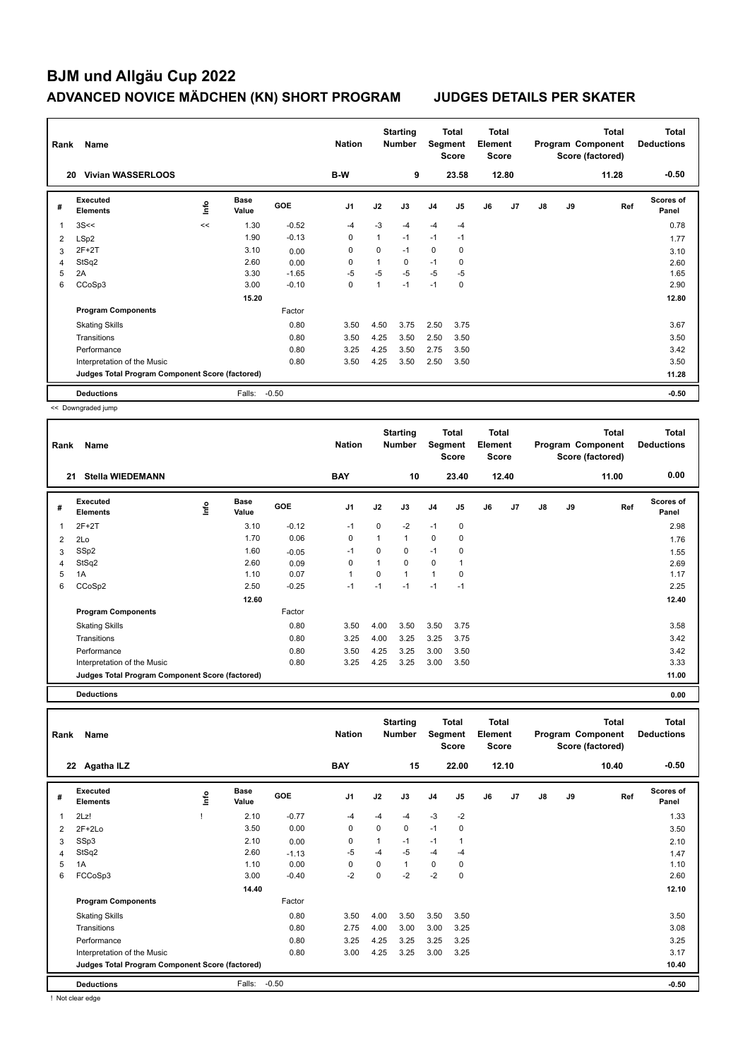| Rank | Name                                            |      |                      |            | <b>Nation</b>  |          | <b>Starting</b><br><b>Number</b> | Segment        | <b>Total</b><br><b>Score</b> | <b>Total</b><br>Element<br><b>Score</b> |       |    |    | Total<br>Program Component<br>Score (factored) | <b>Total</b><br><b>Deductions</b> |
|------|-------------------------------------------------|------|----------------------|------------|----------------|----------|----------------------------------|----------------|------------------------------|-----------------------------------------|-------|----|----|------------------------------------------------|-----------------------------------|
|      | <b>Vivian WASSERLOOS</b><br>20                  |      |                      |            | B-W            |          | 9                                |                | 23.58                        |                                         | 12.80 |    |    | 11.28                                          | $-0.50$                           |
| #    | <b>Executed</b><br><b>Elements</b>              | ١nfo | <b>Base</b><br>Value | <b>GOE</b> | J <sub>1</sub> | J2       | J3                               | J <sub>4</sub> | J <sub>5</sub>               | J6                                      | J7    | J8 | J9 | Ref                                            | <b>Scores of</b><br>Panel         |
| 1    | 3S<<                                            | <<   | 1.30                 | $-0.52$    | $-4$           | $-3$     | $-4$                             | $-4$           | $-4$                         |                                         |       |    |    |                                                | 0.78                              |
| 2    | LSp2                                            |      | 1.90                 | $-0.13$    | 0              | 1        | $-1$                             | $-1$           | $-1$                         |                                         |       |    |    |                                                | 1.77                              |
| 3    | $2F+2T$                                         |      | 3.10                 | 0.00       | 0              | $\Omega$ | $-1$                             | 0              | 0                            |                                         |       |    |    |                                                | 3.10                              |
| 4    | StSq2                                           |      | 2.60                 | 0.00       | 0              | 1        | 0                                | $-1$           | 0                            |                                         |       |    |    |                                                | 2.60                              |
| 5    | 2A                                              |      | 3.30                 | $-1.65$    | $-5$           | $-5$     | $-5$                             | $-5$           | $-5$                         |                                         |       |    |    |                                                | 1.65                              |
| 6    | CCoSp3                                          |      | 3.00                 | $-0.10$    | 0              | 1        | $-1$                             | $-1$           | 0                            |                                         |       |    |    |                                                | 2.90                              |
|      |                                                 |      | 15.20                |            |                |          |                                  |                |                              |                                         |       |    |    |                                                | 12.80                             |
|      | <b>Program Components</b>                       |      |                      | Factor     |                |          |                                  |                |                              |                                         |       |    |    |                                                |                                   |
|      | <b>Skating Skills</b>                           |      |                      | 0.80       | 3.50           | 4.50     | 3.75                             | 2.50           | 3.75                         |                                         |       |    |    |                                                | 3.67                              |
|      | Transitions                                     |      |                      | 0.80       | 3.50           | 4.25     | 3.50                             | 2.50           | 3.50                         |                                         |       |    |    |                                                | 3.50                              |
|      | Performance                                     |      |                      | 0.80       | 3.25           | 4.25     | 3.50                             | 2.75           | 3.50                         |                                         |       |    |    |                                                | 3.42                              |
|      | Interpretation of the Music                     |      |                      | 0.80       | 3.50           | 4.25     | 3.50                             | 2.50           | 3.50                         |                                         |       |    |    |                                                | 3.50                              |
|      | Judges Total Program Component Score (factored) |      |                      |            |                |          |                                  |                |                              |                                         |       |    |    |                                                | 11.28                             |
|      | <b>Deductions</b>                               |      | Falls:               | $-0.50$    |                |          |                                  |                |                              |                                         |       |    |    |                                                | $-0.50$                           |

<< Downgraded jump

| Rank           | Name                                            |    |                      |            | <b>Nation</b> |          | <b>Starting</b><br><b>Number</b> | Segment        | Total<br><b>Score</b> | <b>Total</b><br>Element<br><b>Score</b> |       |    |    | <b>Total</b><br>Program Component<br>Score (factored) | <b>Total</b><br><b>Deductions</b> |
|----------------|-------------------------------------------------|----|----------------------|------------|---------------|----------|----------------------------------|----------------|-----------------------|-----------------------------------------|-------|----|----|-------------------------------------------------------|-----------------------------------|
| 21             | <b>Stella WIEDEMANN</b>                         |    |                      |            | <b>BAY</b>    |          | 10                               |                | 23.40                 |                                         | 12.40 |    |    | 11.00                                                 | 0.00                              |
| #              | <b>Executed</b><br><b>Elements</b>              | ۴ů | <b>Base</b><br>Value | <b>GOE</b> | J1            | J2       | J3                               | J <sub>4</sub> | J <sub>5</sub>        | J6                                      | J7    | J8 | J9 | Ref                                                   | Scores of<br>Panel                |
| 1              | $2F+2T$                                         |    | 3.10                 | $-0.12$    | $-1$          | $\Omega$ | $-2$                             | $-1$           | 0                     |                                         |       |    |    |                                                       | 2.98                              |
| $\overline{2}$ | 2Lo                                             |    | 1.70                 | 0.06       | 0             | 1        | $\mathbf{1}$                     | $\mathbf 0$    | 0                     |                                         |       |    |    |                                                       | 1.76                              |
| 3              | SSp2                                            |    | 1.60                 | $-0.05$    | $-1$          | $\Omega$ | 0                                | $-1$           | 0                     |                                         |       |    |    |                                                       | 1.55                              |
| 4              | StSq2                                           |    | 2.60                 | 0.09       | 0             | 1        | 0                                | $\mathbf 0$    | 1                     |                                         |       |    |    |                                                       | 2.69                              |
| 5              | 1A                                              |    | 1.10                 | 0.07       | $\mathbf 1$   | $\Omega$ | $\mathbf{1}$                     | $\mathbf{1}$   | 0                     |                                         |       |    |    |                                                       | 1.17                              |
| 6              | CCoSp2                                          |    | 2.50                 | $-0.25$    | $-1$          | $-1$     | $-1$                             | $-1$           | $-1$                  |                                         |       |    |    |                                                       | 2.25                              |
|                |                                                 |    | 12.60                |            |               |          |                                  |                |                       |                                         |       |    |    |                                                       | 12.40                             |
|                | <b>Program Components</b>                       |    |                      | Factor     |               |          |                                  |                |                       |                                         |       |    |    |                                                       |                                   |
|                | <b>Skating Skills</b>                           |    |                      | 0.80       | 3.50          | 4.00     | 3.50                             | 3.50           | 3.75                  |                                         |       |    |    |                                                       | 3.58                              |
|                | Transitions                                     |    |                      | 0.80       | 3.25          | 4.00     | 3.25                             | 3.25           | 3.75                  |                                         |       |    |    |                                                       | 3.42                              |
|                | Performance                                     |    |                      | 0.80       | 3.50          | 4.25     | 3.25                             | 3.00           | 3.50                  |                                         |       |    |    |                                                       | 3.42                              |
|                | Interpretation of the Music                     |    |                      | 0.80       | 3.25          | 4.25     | 3.25                             | 3.00           | 3.50                  |                                         |       |    |    |                                                       | 3.33                              |
|                | Judges Total Program Component Score (factored) |    |                      |            |               |          |                                  |                |                       |                                         |       |    |    |                                                       | 11.00                             |

**Deductions 0.00**

| Rank           | Name<br>22 Agatha ILZ                           |      |                      |         | <b>Nation</b>  |              | <b>Starting</b><br>Number |                | <b>Total</b><br>Segment<br><b>Score</b> | <b>Total</b><br>Element<br><b>Score</b> |       |               |    | <b>Total</b><br>Program Component<br>Score (factored) | <b>Total</b><br><b>Deductions</b> |
|----------------|-------------------------------------------------|------|----------------------|---------|----------------|--------------|---------------------------|----------------|-----------------------------------------|-----------------------------------------|-------|---------------|----|-------------------------------------------------------|-----------------------------------|
|                |                                                 |      |                      |         | <b>BAY</b>     |              | 15                        |                | 22.00                                   |                                         | 12.10 |               |    | 10.40                                                 | $-0.50$                           |
| #              | Executed<br><b>Elements</b>                     | ١nfo | <b>Base</b><br>Value | GOE     | J <sub>1</sub> | J2           | J3                        | J <sub>4</sub> | J <sub>5</sub>                          | J6                                      | J7    | $\mathsf{J}8$ | J9 | Ref                                                   | Scores of<br>Panel                |
| $\overline{1}$ | 2Lz!                                            |      | 2.10                 | $-0.77$ | $-4$           | -4           | $-4$                      | $-3$           | $-2$                                    |                                         |       |               |    |                                                       | 1.33                              |
| 2              | $2F+2Lo$                                        |      | 3.50                 | 0.00    | $\mathbf 0$    | $\mathbf 0$  | $\mathbf 0$               | $-1$           | 0                                       |                                         |       |               |    |                                                       | 3.50                              |
| 3              | SSp3                                            |      | 2.10                 | 0.00    | 0              | $\mathbf{1}$ | $-1$                      | $-1$           | 1                                       |                                         |       |               |    |                                                       | 2.10                              |
| $\overline{4}$ | StSq2                                           |      | 2.60                 | $-1.13$ | $-5$           | $-4$         | $-5$                      | $-4$           | $-4$                                    |                                         |       |               |    |                                                       | 1.47                              |
| 5              | 1A                                              |      | 1.10                 | 0.00    | $\Omega$       | 0            | $\mathbf{1}$              | $\mathbf 0$    | 0                                       |                                         |       |               |    |                                                       | 1.10                              |
| 6              | FCCoSp3                                         |      | 3.00                 | $-0.40$ | $-2$           | $\Omega$     | $-2$                      | $-2$           | 0                                       |                                         |       |               |    |                                                       | 2.60                              |
|                |                                                 |      | 14.40                |         |                |              |                           |                |                                         |                                         |       |               |    |                                                       | 12.10                             |
|                | <b>Program Components</b>                       |      |                      | Factor  |                |              |                           |                |                                         |                                         |       |               |    |                                                       |                                   |
|                | <b>Skating Skills</b>                           |      |                      | 0.80    | 3.50           | 4.00         | 3.50                      | 3.50           | 3.50                                    |                                         |       |               |    |                                                       | 3.50                              |
|                | Transitions                                     |      |                      | 0.80    | 2.75           | 4.00         | 3.00                      | 3.00           | 3.25                                    |                                         |       |               |    |                                                       | 3.08                              |
|                | Performance                                     |      |                      | 0.80    | 3.25           | 4.25         | 3.25                      | 3.25           | 3.25                                    |                                         |       |               |    |                                                       | 3.25                              |
|                | Interpretation of the Music                     |      |                      | 0.80    | 3.00           | 4.25         | 3.25                      | 3.00           | 3.25                                    |                                         |       |               |    |                                                       | 3.17                              |
|                | Judges Total Program Component Score (factored) |      |                      |         |                |              |                           |                |                                         |                                         |       |               |    |                                                       | 10.40                             |
|                | <b>Deductions</b>                               |      | Falls:               | $-0.50$ |                |              |                           |                |                                         |                                         |       |               |    |                                                       | $-0.50$                           |

! Not clear edge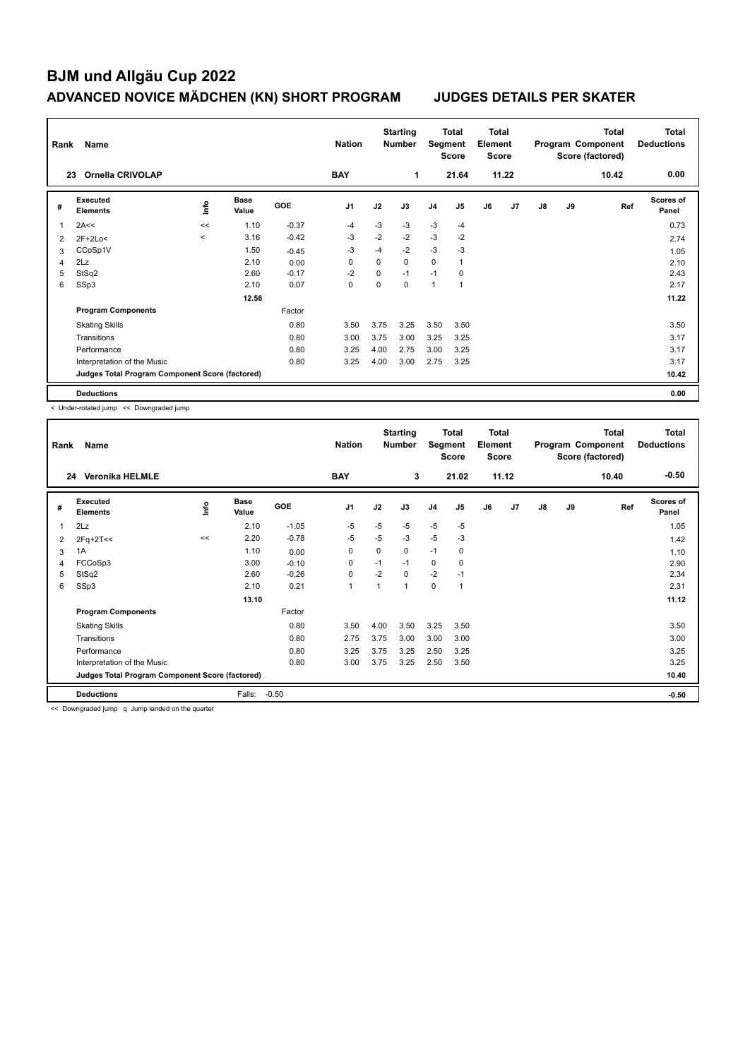|                | Rank<br>Name<br><b>Ornella CRIVOLAP</b><br>23   |         |                      |            |                |          | <b>Starting</b><br><b>Number</b> | Segment        | Total<br><b>Score</b> | Total<br>Element<br><b>Score</b> |       |               |    | <b>Total</b><br>Program Component<br>Score (factored) | Total<br><b>Deductions</b> |
|----------------|-------------------------------------------------|---------|----------------------|------------|----------------|----------|----------------------------------|----------------|-----------------------|----------------------------------|-------|---------------|----|-------------------------------------------------------|----------------------------|
|                |                                                 |         |                      |            | <b>BAY</b>     |          | 1                                |                | 21.64                 |                                  | 11.22 |               |    | 10.42                                                 | 0.00                       |
| #              | Executed<br><b>Elements</b>                     | lnfo    | <b>Base</b><br>Value | <b>GOE</b> | J <sub>1</sub> | J2       | J3                               | J <sub>4</sub> | J <sub>5</sub>        | J6                               | J7    | $\mathsf{J}8$ | J9 | Ref                                                   | <b>Scores of</b><br>Panel  |
| $\overline{1}$ | 2A<<                                            | <<      | 1.10                 | $-0.37$    | $-4$           | $-3$     | $-3$                             | $-3$           | $-4$                  |                                  |       |               |    |                                                       | 0.73                       |
| 2              | $2F+2Lo<$                                       | $\prec$ | 3.16                 | $-0.42$    | -3             | $-2$     | $-2$                             | $-3$           | $-2$                  |                                  |       |               |    |                                                       | 2.74                       |
| 3              | CCoSp1V                                         |         | 1.50                 | $-0.45$    | $-3$           | $-4$     | $-2$                             | $-3$           | $-3$                  |                                  |       |               |    |                                                       | 1.05                       |
| 4              | 2Lz                                             |         | 2.10                 | 0.00       | 0              | $\Omega$ | $\Omega$                         | 0              | $\overline{1}$        |                                  |       |               |    |                                                       | 2.10                       |
| 5              | StSq2                                           |         | 2.60                 | $-0.17$    | $-2$           | 0        | $-1$                             | $-1$           | 0                     |                                  |       |               |    |                                                       | 2.43                       |
| 6              | SSp3                                            |         | 2.10                 | 0.07       | 0              | $\Omega$ | $\Omega$                         | 1              | $\overline{1}$        |                                  |       |               |    |                                                       | 2.17                       |
|                |                                                 |         | 12.56                |            |                |          |                                  |                |                       |                                  |       |               |    |                                                       | 11.22                      |
|                | <b>Program Components</b>                       |         |                      | Factor     |                |          |                                  |                |                       |                                  |       |               |    |                                                       |                            |
|                | <b>Skating Skills</b>                           |         |                      | 0.80       | 3.50           | 3.75     | 3.25                             | 3.50           | 3.50                  |                                  |       |               |    |                                                       | 3.50                       |
|                | Transitions                                     |         |                      | 0.80       | 3.00           | 3.75     | 3.00                             | 3.25           | 3.25                  |                                  |       |               |    |                                                       | 3.17                       |
|                | Performance                                     |         |                      | 0.80       | 3.25           | 4.00     | 2.75                             | 3.00           | 3.25                  |                                  |       |               |    |                                                       | 3.17                       |
|                | Interpretation of the Music                     |         |                      | 0.80       | 3.25           | 4.00     | 3.00                             | 2.75           | 3.25                  |                                  |       |               |    |                                                       | 3.17                       |
|                | Judges Total Program Component Score (factored) |         |                      |            |                |          |                                  |                |                       |                                  |       |               |    |                                                       | 10.42                      |
|                | <b>Deductions</b>                               |         |                      |            |                |          |                                  |                |                       |                                  |       |               |    |                                                       | 0.00                       |

< Under-rotated jump << Downgraded jump

| Rank           | Name                                            |      | <b>Nation</b>        |            | <b>Starting</b><br><b>Number</b> | Segment  | <b>Total</b><br><b>Score</b> | <b>Total</b><br>Element<br><b>Score</b> |             |    |       | <b>Total</b><br>Program Component<br>Score (factored) | Total<br><b>Deductions</b> |       |                    |
|----------------|-------------------------------------------------|------|----------------------|------------|----------------------------------|----------|------------------------------|-----------------------------------------|-------------|----|-------|-------------------------------------------------------|----------------------------|-------|--------------------|
|                | <b>Veronika HELMLE</b><br>24                    |      |                      |            | <b>BAY</b>                       |          | 3                            |                                         | 21.02       |    | 11.12 |                                                       |                            | 10.40 | $-0.50$            |
| #              | Executed<br><b>Elements</b>                     | ١mfo | <b>Base</b><br>Value | <b>GOE</b> | J <sub>1</sub>                   | J2       | J3                           | J <sub>4</sub>                          | J5          | J6 | J7    | $\mathsf{J}8$                                         | J9                         | Ref   | Scores of<br>Panel |
| 1              | 2Lz                                             |      | 2.10                 | $-1.05$    | $-5$                             | $-5$     | $-5$                         | $-5$                                    | $-5$        |    |       |                                                       |                            |       | 1.05               |
| 2              | 2Fq+2T<<                                        | <<   | 2.20                 | $-0.78$    | $-5$                             | $-5$     | $-3$                         | $-5$                                    | $-3$        |    |       |                                                       |                            |       | 1.42               |
| 3              | 1A                                              |      | 1.10                 | 0.00       | 0                                | $\Omega$ | 0                            | $-1$                                    | $\mathbf 0$ |    |       |                                                       |                            |       | 1.10               |
| $\overline{4}$ | FCCoSp3                                         |      | 3.00                 | $-0.10$    | $\mathbf 0$                      | $-1$     | $-1$                         | 0                                       | $\mathbf 0$ |    |       |                                                       |                            |       | 2.90               |
| 5              | StSq2                                           |      | 2.60                 | $-0.26$    | $\mathbf 0$                      | $-2$     | $\Omega$                     | $-2$                                    | $-1$        |    |       |                                                       |                            |       | 2.34               |
| 6              | SSp3                                            |      | 2.10                 | 0.21       | $\mathbf{1}$                     |          | 1                            | 0                                       | 1           |    |       |                                                       |                            |       | 2.31               |
|                |                                                 |      | 13.10                |            |                                  |          |                              |                                         |             |    |       |                                                       |                            |       | 11.12              |
|                | <b>Program Components</b>                       |      |                      | Factor     |                                  |          |                              |                                         |             |    |       |                                                       |                            |       |                    |
|                | <b>Skating Skills</b>                           |      |                      | 0.80       | 3.50                             | 4.00     | 3.50                         | 3.25                                    | 3.50        |    |       |                                                       |                            |       | 3.50               |
|                | Transitions                                     |      |                      | 0.80       | 2.75                             | 3.75     | 3.00                         | 3.00                                    | 3.00        |    |       |                                                       |                            |       | 3.00               |
|                | Performance                                     |      |                      | 0.80       | 3.25                             | 3.75     | 3.25                         | 2.50                                    | 3.25        |    |       |                                                       |                            |       | 3.25               |
|                | Interpretation of the Music                     |      |                      | 0.80       | 3.00                             | 3.75     | 3.25                         | 2.50                                    | 3.50        |    |       |                                                       |                            |       | 3.25               |
|                | Judges Total Program Component Score (factored) |      |                      |            |                                  |          |                              |                                         |             |    |       |                                                       |                            |       | 10.40              |
|                | <b>Deductions</b>                               |      | Falls:               | $-0.50$    |                                  |          |                              |                                         |             |    |       |                                                       |                            |       | $-0.50$            |

<< Downgraded jump q Jump landed on the quarter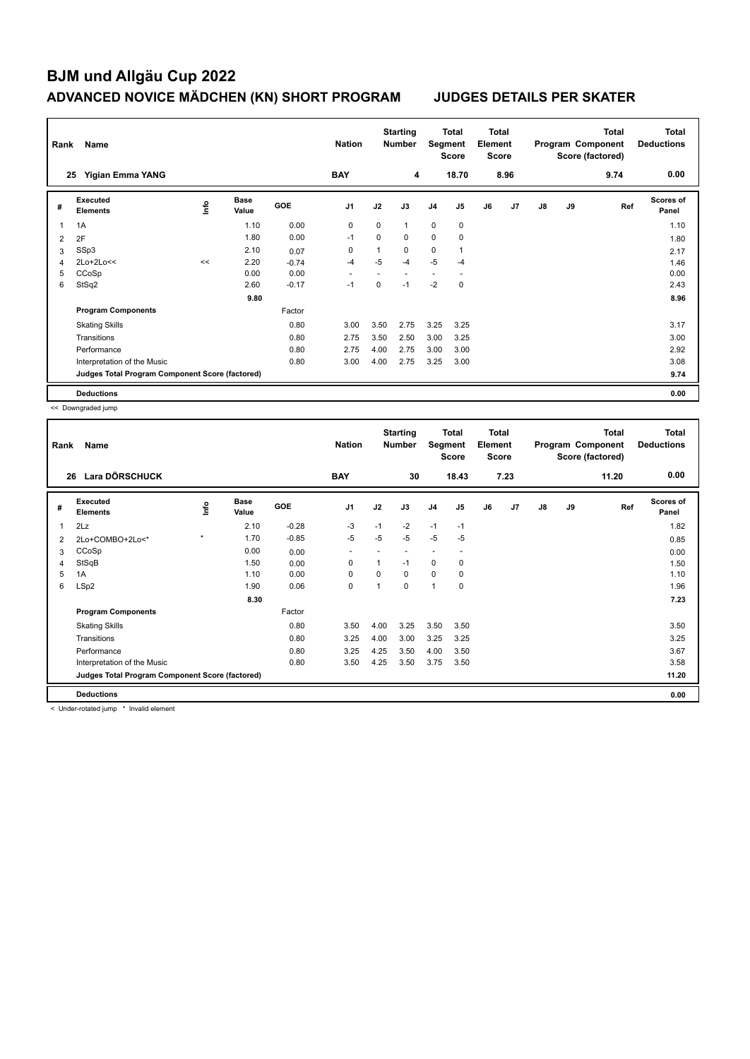| Rank           | Name                                            |      |                      |            | <b>Nation</b>  |          | <b>Starting</b><br><b>Number</b> | Segment        | <b>Total</b><br><b>Score</b> | <b>Total</b><br>Element<br><b>Score</b> |                |    |    | <b>Total</b><br>Program Component<br>Score (factored) | Total<br><b>Deductions</b> |
|----------------|-------------------------------------------------|------|----------------------|------------|----------------|----------|----------------------------------|----------------|------------------------------|-----------------------------------------|----------------|----|----|-------------------------------------------------------|----------------------------|
|                | Yigian Emma YANG<br>25                          |      |                      |            | <b>BAY</b>     |          | 4                                |                | 18.70                        |                                         | 8.96           |    |    | 9.74                                                  | 0.00                       |
| #              | Executed<br><b>Elements</b>                     | ١nf٥ | <b>Base</b><br>Value | <b>GOE</b> | J <sub>1</sub> | J2       | J3                               | J <sub>4</sub> | J <sub>5</sub>               | J6                                      | J <sub>7</sub> | J8 | J9 | Ref                                                   | <b>Scores of</b><br>Panel  |
| 1              | 1A                                              |      | 1.10                 | 0.00       | 0              | $\Omega$ | $\mathbf{1}$                     | $\mathbf 0$    | $\mathbf 0$                  |                                         |                |    |    |                                                       | 1.10                       |
| 2              | 2F                                              |      | 1.80                 | 0.00       | $-1$           | 0        | $\mathbf 0$                      | $\mathbf 0$    | 0                            |                                         |                |    |    |                                                       | 1.80                       |
| 3              | SSp3                                            |      | 2.10                 | 0.07       | 0              | 1        | $\mathbf 0$                      | $\mathbf 0$    | $\overline{1}$               |                                         |                |    |    |                                                       | 2.17                       |
| $\overline{4}$ | 2Lo+2Lo<<                                       | <<   | 2.20                 | $-0.74$    | $-4$           | $-5$     | $-4$                             | $-5$           | $-4$                         |                                         |                |    |    |                                                       | 1.46                       |
| 5              | CCoSp                                           |      | 0.00                 | 0.00       |                |          | ٠                                |                |                              |                                         |                |    |    |                                                       | 0.00                       |
| 6              | StSq2                                           |      | 2.60                 | $-0.17$    | $-1$           | 0        | $-1$                             | $-2$           | $\mathbf 0$                  |                                         |                |    |    |                                                       | 2.43                       |
|                |                                                 |      | 9.80                 |            |                |          |                                  |                |                              |                                         |                |    |    |                                                       | 8.96                       |
|                | <b>Program Components</b>                       |      |                      | Factor     |                |          |                                  |                |                              |                                         |                |    |    |                                                       |                            |
|                | <b>Skating Skills</b>                           |      |                      | 0.80       | 3.00           | 3.50     | 2.75                             | 3.25           | 3.25                         |                                         |                |    |    |                                                       | 3.17                       |
|                | Transitions                                     |      |                      | 0.80       | 2.75           | 3.50     | 2.50                             | 3.00           | 3.25                         |                                         |                |    |    |                                                       | 3.00                       |
|                | Performance                                     |      |                      | 0.80       | 2.75           | 4.00     | 2.75                             | 3.00           | 3.00                         |                                         |                |    |    |                                                       | 2.92                       |
|                | Interpretation of the Music                     |      |                      | 0.80       | 3.00           | 4.00     | 2.75                             | 3.25           | 3.00                         |                                         |                |    |    |                                                       | 3.08                       |
|                | Judges Total Program Component Score (factored) |      |                      |            |                |          |                                  |                |                              |                                         |                |    |    |                                                       | 9.74                       |
|                | <b>Deductions</b>                               |      |                      |            |                |          |                                  |                |                              |                                         |                |    |    |                                                       | 0.00                       |

<< Downgraded jump

| Rank | Name                                            |         |                      |         | <b>Nation</b>            |          | <b>Starting</b><br><b>Number</b> | Segment        | Total<br><b>Score</b> | <b>Total</b><br>Element<br><b>Score</b> |      |               |    | <b>Total</b><br>Program Component<br>Score (factored) | Total<br><b>Deductions</b> |
|------|-------------------------------------------------|---------|----------------------|---------|--------------------------|----------|----------------------------------|----------------|-----------------------|-----------------------------------------|------|---------------|----|-------------------------------------------------------|----------------------------|
|      | Lara DÖRSCHUCK<br>26                            |         |                      |         | <b>BAY</b>               |          | 30                               |                | 18.43                 |                                         | 7.23 |               |    | 11.20                                                 | 0.00                       |
| #    | Executed<br><b>Elements</b>                     | lnfo    | <b>Base</b><br>Value | GOE     | J <sub>1</sub>           | J2       | J3                               | J <sub>4</sub> | J <sub>5</sub>        | J6                                      | J7   | $\mathsf{J}8$ | J9 | Ref                                                   | <b>Scores of</b><br>Panel  |
| 1    | 2Lz                                             |         | 2.10                 | $-0.28$ | -3                       | $-1$     | $-2$                             | $-1$           | $-1$                  |                                         |      |               |    |                                                       | 1.82                       |
| 2    | 2Lo+COMBO+2Lo<*                                 | $\star$ | 1.70                 | $-0.85$ | -5                       | -5       | $-5$                             | $-5$           | $-5$                  |                                         |      |               |    |                                                       | 0.85                       |
| 3    | CCoSp                                           |         | 0.00                 | 0.00    | $\overline{\phantom{a}}$ |          |                                  |                | ٠                     |                                         |      |               |    |                                                       | 0.00                       |
| 4    | StSqB                                           |         | 1.50                 | 0.00    | 0                        | 1        | $-1$                             | 0              | 0                     |                                         |      |               |    |                                                       | 1.50                       |
| 5    | 1A                                              |         | 1.10                 | 0.00    | $\Omega$                 | $\Omega$ | $\Omega$                         | 0              | 0                     |                                         |      |               |    |                                                       | 1.10                       |
| 6    | LSp2                                            |         | 1.90                 | 0.06    | $\mathbf 0$              | 1        | 0                                | 1              | 0                     |                                         |      |               |    |                                                       | 1.96                       |
|      |                                                 |         | 8.30                 |         |                          |          |                                  |                |                       |                                         |      |               |    |                                                       | 7.23                       |
|      | <b>Program Components</b>                       |         |                      | Factor  |                          |          |                                  |                |                       |                                         |      |               |    |                                                       |                            |
|      | <b>Skating Skills</b>                           |         |                      | 0.80    | 3.50                     | 4.00     | 3.25                             | 3.50           | 3.50                  |                                         |      |               |    |                                                       | 3.50                       |
|      | Transitions                                     |         |                      | 0.80    | 3.25                     | 4.00     | 3.00                             | 3.25           | 3.25                  |                                         |      |               |    |                                                       | 3.25                       |
|      | Performance                                     |         |                      | 0.80    | 3.25                     | 4.25     | 3.50                             | 4.00           | 3.50                  |                                         |      |               |    |                                                       | 3.67                       |
|      | Interpretation of the Music                     |         |                      | 0.80    | 3.50                     | 4.25     | 3.50                             | 3.75           | 3.50                  |                                         |      |               |    |                                                       | 3.58                       |
|      | Judges Total Program Component Score (factored) |         |                      |         |                          |          |                                  |                |                       |                                         |      |               |    |                                                       | 11.20                      |
|      | <b>Deductions</b>                               |         |                      |         |                          |          |                                  |                |                       |                                         |      |               |    |                                                       | 0.00                       |

< Under-rotated jump \* Invalid element